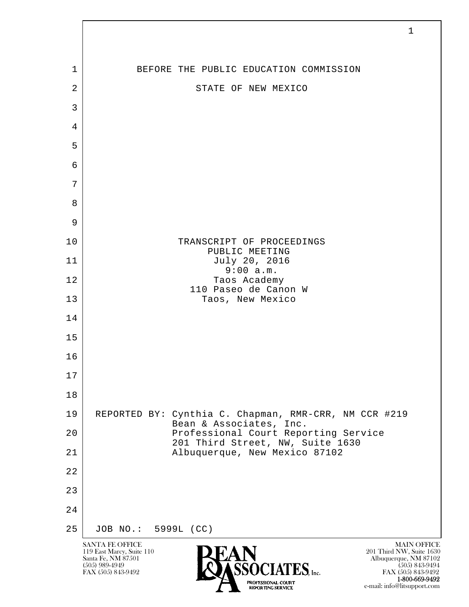| 1              | BEFORE THE PUBLIC EDUCATION COMMISSION                                           |
|----------------|----------------------------------------------------------------------------------|
| $\overline{2}$ | STATE OF NEW MEXICO                                                              |
| 3              |                                                                                  |
| $\overline{4}$ |                                                                                  |
| 5              |                                                                                  |
| 6              |                                                                                  |
| 7              |                                                                                  |
| 8              |                                                                                  |
| 9              |                                                                                  |
| 10             | TRANSCRIPT OF PROCEEDINGS<br>PUBLIC MEETING                                      |
| 11             | July 20, 2016<br>9:00 a.m.                                                       |
| 12             | Taos Academy<br>110 Paseo de Canon W                                             |
| 13             | Taos, New Mexico                                                                 |
| 14             |                                                                                  |
| 15             |                                                                                  |
| 16             |                                                                                  |
| 17             |                                                                                  |
| 18             |                                                                                  |
| 19             | REPORTED BY: Cynthia C. Chapman, RMR-CRR, NM CCR #219<br>Bean & Associates, Inc. |
| 20             | Professional Court Reporting Service<br>201 Third Street, NW, Suite 1630         |
| 21             | Albuquerque, New Mexico 87102                                                    |
| 22             |                                                                                  |
| 23             |                                                                                  |
| 24             |                                                                                  |
| 25             | JOB NO.: 5999L (CC)                                                              |

 $\overline{\phantom{a}}$ 

**1-800-669-9492**<br> **EXALTERIONAL CN BT** e-mail: info@litsupport.com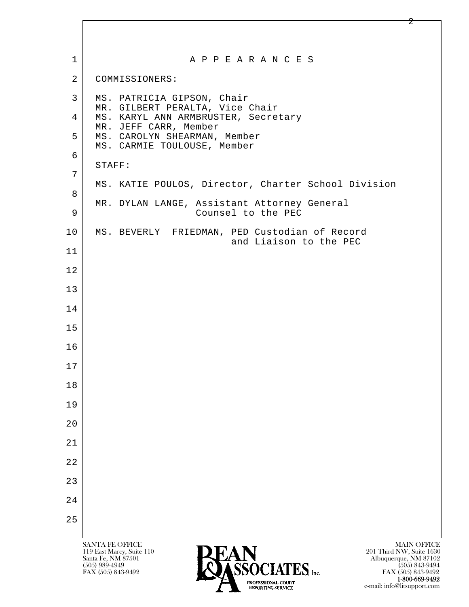| $\mathbf 1$    | A P P E A R A N C E S                                                                                                                                                                                            |
|----------------|------------------------------------------------------------------------------------------------------------------------------------------------------------------------------------------------------------------|
| $\overline{2}$ | COMMISSIONERS:                                                                                                                                                                                                   |
| 3              | MS. PATRICIA GIPSON, Chair<br>MR. GILBERT PERALTA, Vice Chair                                                                                                                                                    |
| 4              | MS. KARYL ANN ARMBRUSTER, Secretary<br>MR. JEFF CARR, Member                                                                                                                                                     |
| 5              | MS. CAROLYN SHEARMAN, Member<br>MS. CARMIE TOULOUSE, Member                                                                                                                                                      |
| 6              | STAFF:                                                                                                                                                                                                           |
| 7              | MS. KATIE POULOS, Director, Charter School Division                                                                                                                                                              |
| 8              | MR. DYLAN LANGE, Assistant Attorney General                                                                                                                                                                      |
| 9              | Counsel to the PEC                                                                                                                                                                                               |
| 10             | MS. BEVERLY FRIEDMAN, PED Custodian of Record<br>and Liaison to the PEC                                                                                                                                          |
| 11             |                                                                                                                                                                                                                  |
| 12             |                                                                                                                                                                                                                  |
| 13             |                                                                                                                                                                                                                  |
| 14             |                                                                                                                                                                                                                  |
| 15             |                                                                                                                                                                                                                  |
| 16             |                                                                                                                                                                                                                  |
| 17             |                                                                                                                                                                                                                  |
| 18             |                                                                                                                                                                                                                  |
| 19             |                                                                                                                                                                                                                  |
| 20             |                                                                                                                                                                                                                  |
| 21             |                                                                                                                                                                                                                  |
| 22             |                                                                                                                                                                                                                  |
| 23             |                                                                                                                                                                                                                  |
| 24             |                                                                                                                                                                                                                  |
| 25             |                                                                                                                                                                                                                  |
|                | <b>MAIN OFFICE</b><br><b>SANTA FE OFFICE</b><br>201 Third NW, Suite 1630<br>119 East Marcy, Suite 110<br>Santa Fe, NM 87501<br>Albuquerque, NM 87102<br><b>CEACLATEC</b><br>$(505)$ 989-4949<br>$(505)$ 843-9494 |

**1-800-669-9492**<br> **EXALTERIONAL CN BT** e-mail: info@litsupport.com

2

FAX (505) 843-9492 FAX (505) 843-9492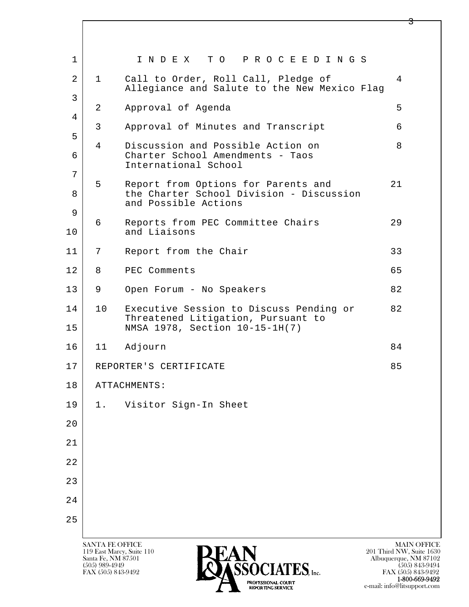| 1              |              | INDEX TO PROCEEDINGS                                                                                            |    |
|----------------|--------------|-----------------------------------------------------------------------------------------------------------------|----|
| $\overline{a}$ | $\mathbf{1}$ | Call to Order, Roll Call, Pledge of<br>Allegiance and Salute to the New Mexico Flag                             | 4  |
| 3<br>4         | 2            | Approval of Agenda                                                                                              | 5  |
| 5              | 3            | Approval of Minutes and Transcript                                                                              | 6  |
| 6              | 4            | Discussion and Possible Action on<br>Charter School Amendments - Taos<br>International School                   | 8  |
| 7<br>8         | 5            | Report from Options for Parents and<br>the Charter School Division - Discussion<br>and Possible Actions         | 21 |
| 9<br>10        | 6            | Reports from PEC Committee Chairs<br>and Liaisons                                                               | 29 |
| 11             | 7            | Report from the Chair                                                                                           | 33 |
| 12             | 8            | PEC Comments                                                                                                    | 65 |
| 13             | 9            | Open Forum - No Speakers                                                                                        | 82 |
| 14<br>15       | 10           | Executive Session to Discuss Pending or<br>Threatened Litigation, Pursuant to<br>NMSA 1978, Section 10-15-1H(7) | 82 |
| 16             | 11           | Adjourn                                                                                                         | 84 |
| 17             |              | REPORTER'S CERTIFICATE                                                                                          | 85 |
| 18             |              | ATTACHMENTS:                                                                                                    |    |
| 19             | 1.           | Visitor Sign-In Sheet                                                                                           |    |
| 20             |              |                                                                                                                 |    |
| 21             |              |                                                                                                                 |    |
| 22             |              |                                                                                                                 |    |
| 23             |              |                                                                                                                 |    |
| 24             |              |                                                                                                                 |    |
| 25             |              |                                                                                                                 |    |

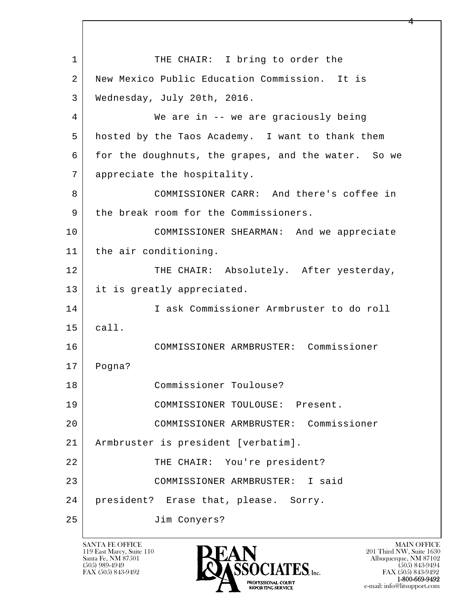l  $\overline{\phantom{a}}$ 1 THE CHAIR: I bring to order the 2 New Mexico Public Education Commission. It is 3 Wednesday, July 20th, 2016. 4 We are in -- we are graciously being 5 hosted by the Taos Academy. I want to thank them 6 for the doughnuts, the grapes, and the water. So we 7 appreciate the hospitality. 8 COMMISSIONER CARR: And there's coffee in 9 the break room for the Commissioners. 10 COMMISSIONER SHEARMAN: And we appreciate 11 | the air conditioning. 12 THE CHAIR: Absolutely. After yesterday, 13 it is greatly appreciated. 14 I ask Commissioner Armbruster to do roll 15 call. 16 COMMISSIONER ARMBRUSTER: Commissioner 17 Pogna? 18 Commissioner Toulouse? 19 COMMISSIONER TOULOUSE: Present. 20 COMMISSIONER ARMBRUSTER: Commissioner 21 Armbruster is president [verbatim]. 22 | THE CHAIR: You're president? 23 COMMISSIONER ARMBRUSTER: I said 24 president? Erase that, please. Sorry. 25 Jim Conyers?

119 East Marcy, Suite 110<br>Santa Fe, NM 87501



FAX (505) 843-9492 FAX (505) 843-9492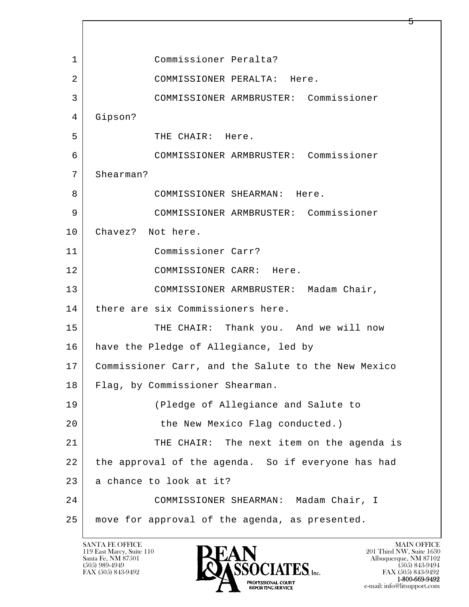l  $\overline{\phantom{a}}$  1 Commissioner Peralta? 2 COMMISSIONER PERALTA: Here. 3 COMMISSIONER ARMBRUSTER: Commissioner 4 Gipson? 5 THE CHAIR: Here. 6 COMMISSIONER ARMBRUSTER: Commissioner 7 Shearman? 8 COMMISSIONER SHEARMAN: Here. 9 COMMISSIONER ARMBRUSTER: Commissioner 10 | Chavez? Not here. 11 Commissioner Carr? 12 COMMISSIONER CARR: Here. 13 | COMMISSIONER ARMBRUSTER: Madam Chair, 14 there are six Commissioners here. 15 THE CHAIR: Thank you. And we will now 16 have the Pledge of Allegiance, led by 17 Commissioner Carr, and the Salute to the New Mexico 18 Flag, by Commissioner Shearman. 19 (Pledge of Allegiance and Salute to 20 the New Mexico Flag conducted.) 21 THE CHAIR: The next item on the agenda is 22 the approval of the agenda. So if everyone has had 23 a chance to look at it? 24 COMMISSIONER SHEARMAN: Madam Chair, I 25 move for approval of the agenda, as presented.

119 East Marcy, Suite 110<br>Santa Fe, NM 87501

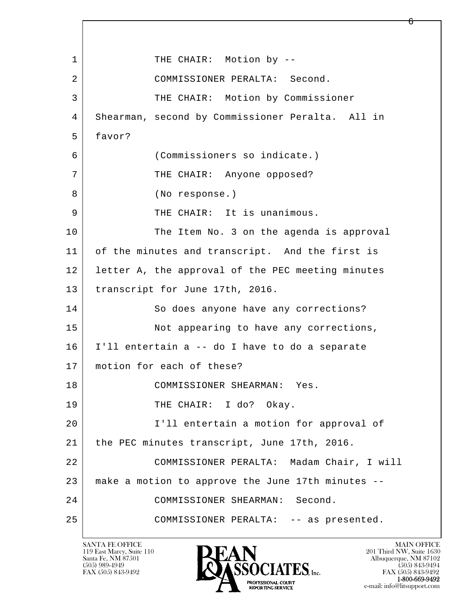l  $\overline{\phantom{a}}$ 1 THE CHAIR: Motion by -- 2 COMMISSIONER PERALTA: Second. 3 THE CHAIR: Motion by Commissioner 4 Shearman, second by Commissioner Peralta. All in 5 favor? 6 (Commissioners so indicate.) 7 | THE CHAIR: Anyone opposed? 8 (No response.) 9 | THE CHAIR: It is unanimous. 10 The Item No. 3 on the agenda is approval 11 of the minutes and transcript. And the first is 12 letter A, the approval of the PEC meeting minutes 13 | transcript for June 17th, 2016. 14 So does anyone have any corrections? 15 Not appearing to have any corrections, 16 I'll entertain a -- do I have to do a separate 17 | motion for each of these? 18 COMMISSIONER SHEARMAN: Yes. 19 THE CHAIR: I do? Okay. 20 I'll entertain a motion for approval of 21 the PEC minutes transcript, June 17th, 2016. 22 COMMISSIONER PERALTA: Madam Chair, I will 23 make a motion to approve the June 17th minutes -- 24 COMMISSIONER SHEARMAN: Second. 25 COMMISSIONER PERALTA: -- as presented.

119 East Marcy, Suite 110<br>Santa Fe, NM 87501

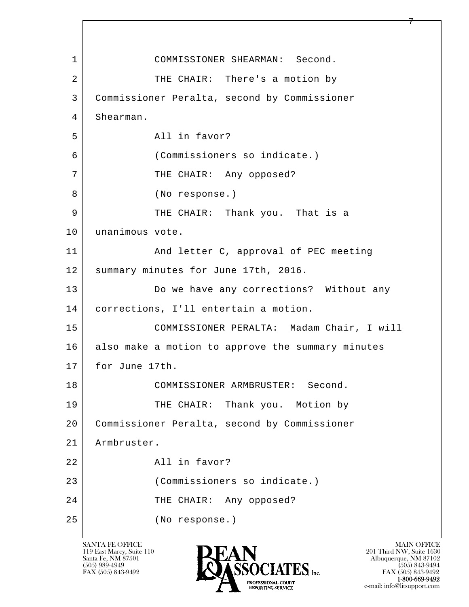l  $\overline{\phantom{a}}$ 1 COMMISSIONER SHEARMAN: Second. 2 | THE CHAIR: There's a motion by 3 Commissioner Peralta, second by Commissioner 4 Shearman. 5 All in favor? 6 (Commissioners so indicate.) 7 | THE CHAIR: Any opposed? 8 (No response.) 9 THE CHAIR: Thank you. That is a 10 | unanimous vote. 11 | And letter C, approval of PEC meeting 12 | summary minutes for June 17th, 2016. 13 Do we have any corrections? Without any 14 corrections, I'll entertain a motion. 15 COMMISSIONER PERALTA: Madam Chair, I will 16 also make a motion to approve the summary minutes 17 for June 17th. 18 COMMISSIONER ARMBRUSTER: Second. 19 THE CHAIR: Thank you. Motion by 20 Commissioner Peralta, second by Commissioner 21 Armbruster. 22 All in favor? 23 (Commissioners so indicate.) 24 THE CHAIR: Any opposed? 25 (No response.)



FAX (505) 843-9492<br>1-800-669-9492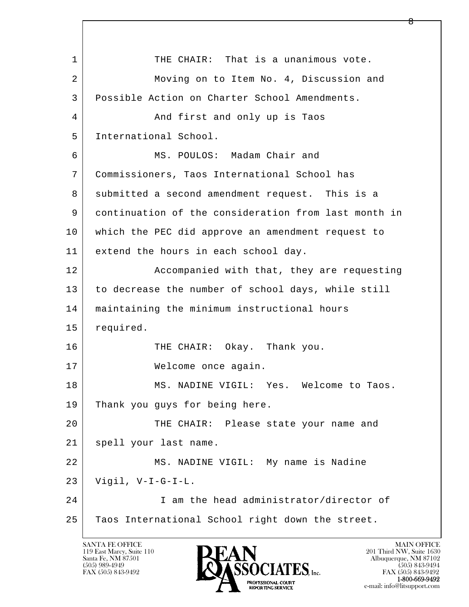l  $\overline{\phantom{a}}$ 1 THE CHAIR: That is a unanimous vote. 2 Moving on to Item No. 4, Discussion and 3 Possible Action on Charter School Amendments. 4 And first and only up is Taos 5 International School. 6 MS. POULOS: Madam Chair and 7 Commissioners, Taos International School has 8 submitted a second amendment request. This is a 9 continuation of the consideration from last month in 10 which the PEC did approve an amendment request to 11 extend the hours in each school day. 12 Accompanied with that, they are requesting 13 to decrease the number of school days, while still 14 maintaining the minimum instructional hours 15 required. 16 THE CHAIR: Okay. Thank you. 17 Welcome once again. 18 MS. NADINE VIGIL: Yes. Welcome to Taos. 19 Thank you guys for being here. 20 THE CHAIR: Please state your name and 21 | spell your last name. 22 MS. NADINE VIGIL: My name is Nadine  $23$  Vigil, V-I-G-I-L. 24 I am the head administrator/director of 25 Taos International School right down the street.

119 East Marcy, Suite 110<br>Santa Fe, NM 87501

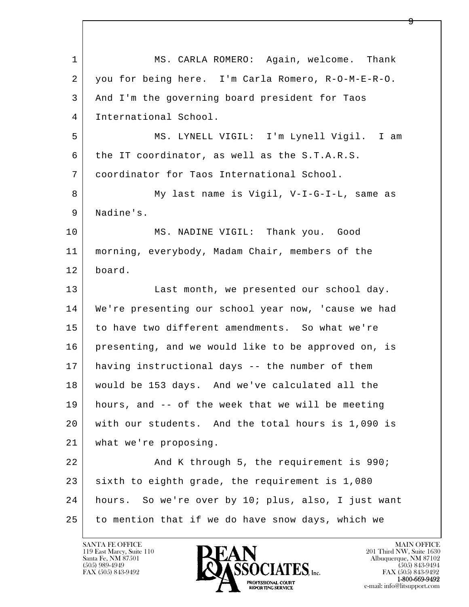l  $\overline{\phantom{a}}$  1 MS. CARLA ROMERO: Again, welcome. Thank 2 you for being here. I'm Carla Romero, R-O-M-E-R-O. 3 And I'm the governing board president for Taos 4 International School. 5 MS. LYNELL VIGIL: I'm Lynell Vigil. I am 6 the IT coordinator, as well as the S.T.A.R.S. 7 coordinator for Taos International School. 8 My last name is Vigil, V-I-G-I-L, same as 9 | Nadine's. 10 MS. NADINE VIGIL: Thank you. Good 11 morning, everybody, Madam Chair, members of the 12 board. 13 Last month, we presented our school day. 14 We're presenting our school year now, 'cause we had 15 to have two different amendments. So what we're 16 presenting, and we would like to be approved on, is 17 having instructional days -- the number of them 18 would be 153 days. And we've calculated all the 19 hours, and -- of the week that we will be meeting 20 with our students. And the total hours is 1,090 is 21 what we're proposing. 22 And K through 5, the requirement is 990;  $23$  sixth to eighth grade, the requirement is 1,080 24 hours. So we're over by 10; plus, also, I just want 25 to mention that if we do have snow days, which we

119 East Marcy, Suite 110<br>Santa Fe, NM 87501

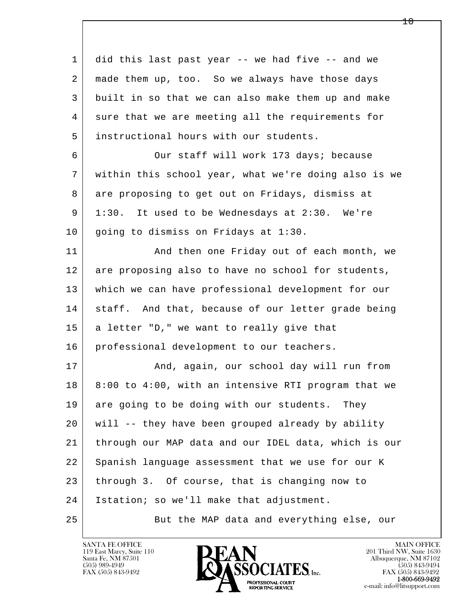l  $\overline{\phantom{a}}$  1 did this last past year -- we had five -- and we 2 made them up, too. So we always have those days 3 built in so that we can also make them up and make 4 sure that we are meeting all the requirements for 5 instructional hours with our students. 6 Our staff will work 173 days; because 7 within this school year, what we're doing also is we 8 are proposing to get out on Fridays, dismiss at 9 1:30. It used to be Wednesdays at 2:30. We're 10 | going to dismiss on Fridays at 1:30. 11 | And then one Friday out of each month, we 12 are proposing also to have no school for students, 13 which we can have professional development for our 14 staff. And that, because of our letter grade being 15 | a letter "D," we want to really give that 16 | professional development to our teachers. 17 | The Rand, again, our school day will run from 18 8:00 to 4:00, with an intensive RTI program that we 19 are going to be doing with our students. They 20 will -- they have been grouped already by ability 21 through our MAP data and our IDEL data, which is our 22 Spanish language assessment that we use for our K 23 through 3. Of course, that is changing now to 24 | Istation; so we'll make that adjustment. 25 But the MAP data and everything else, our



 $10 \,$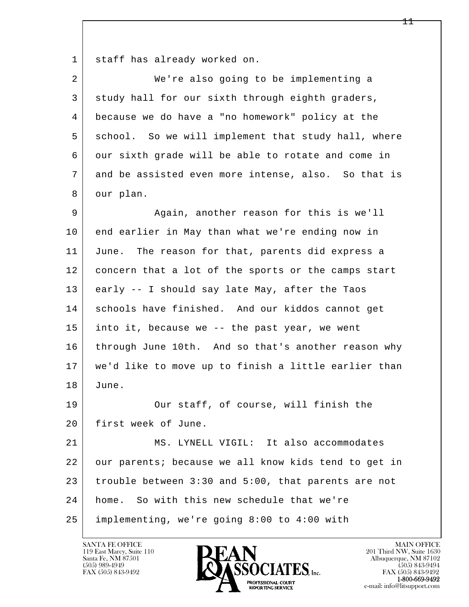1 staff has already worked on.

| $\overline{2}$ | We're also going to be implementing a                |
|----------------|------------------------------------------------------|
| 3              | study hall for our sixth through eighth graders,     |
| 4              | because we do have a "no homework" policy at the     |
| 5              | school. So we will implement that study hall, where  |
| 6              | our sixth grade will be able to rotate and come in   |
| 7              | and be assisted even more intense, also. So that is  |
| 8              | our plan.                                            |
| 9              | Again, another reason for this is we'll              |
| 10             | end earlier in May than what we're ending now in     |
| 11             | June. The reason for that, parents did express a     |
| 12             | concern that a lot of the sports or the camps start  |
| 13             | early -- I should say late May, after the Taos       |
| 14             | schools have finished. And our kiddos cannot get     |
| 15             | into it, because we -- the past year, we went        |
| 16             | through June 10th. And so that's another reason why  |
| 17             | we'd like to move up to finish a little earlier than |
| 18             | June.                                                |
| 19             | Our staff, of course, will finish the                |
| 20             | first week of June.                                  |
| 21             | MS. LYNELL VIGIL: It also accommodates               |
| 22             | our parents; because we all know kids tend to get in |
| 23             | trouble between 3:30 and 5:00, that parents are not  |
| 24             | home. So with this new schedule that we're           |
| 25             | implementing, we're going 8:00 to 4:00 with          |

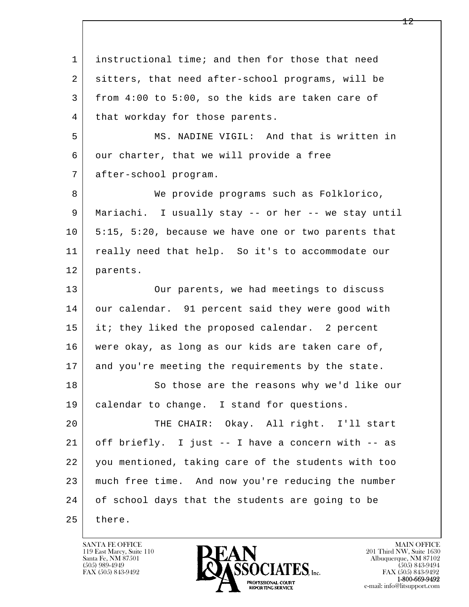l  $\overline{\phantom{a}}$  1 instructional time; and then for those that need 2 sitters, that need after-school programs, will be 3 from 4:00 to 5:00, so the kids are taken care of 4 | that workday for those parents. 5 MS. NADINE VIGIL: And that is written in 6 our charter, that we will provide a free 7 after-school program. 8 We provide programs such as Folklorico, 9 Mariachi. I usually stay -- or her -- we stay until 10 5:15, 5:20, because we have one or two parents that 11 really need that help. So it's to accommodate our 12 parents. 13 Our parents, we had meetings to discuss 14 our calendar. 91 percent said they were good with 15 it; they liked the proposed calendar. 2 percent 16 were okay, as long as our kids are taken care of, 17 and you're meeting the requirements by the state. 18 So those are the reasons why we'd like our 19 | calendar to change. I stand for questions. 20 THE CHAIR: Okay. All right. I'll start 21 off briefly. I just -- I have a concern with -- as 22 you mentioned, taking care of the students with too 23 much free time. And now you're reducing the number 24 of school days that the students are going to be 25 there.

119 East Marcy, Suite 110<br>Santa Fe, NM 87501

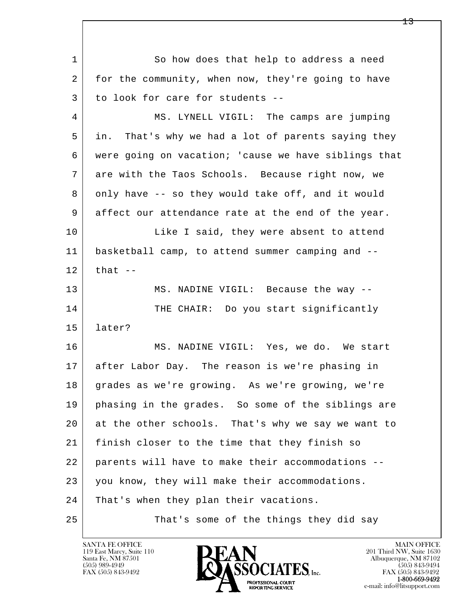l  $\overline{\phantom{a}}$ 1 So how does that help to address a need 2 for the community, when now, they're going to have 3 to look for care for students -- 4 MS. LYNELL VIGIL: The camps are jumping 5 in. That's why we had a lot of parents saying they 6 were going on vacation; 'cause we have siblings that 7 are with the Taos Schools. Because right now, we 8 only have -- so they would take off, and it would 9 affect our attendance rate at the end of the year. 10 Like I said, they were absent to attend 11 basketball camp, to attend summer camping and --  $12$  that  $-$ 13 MS. NADINE VIGIL: Because the way --14 THE CHAIR: Do you start significantly 15 later? 16 MS. NADINE VIGIL: Yes, we do. We start 17 after Labor Day. The reason is we're phasing in 18 grades as we're growing. As we're growing, we're 19 phasing in the grades. So some of the siblings are 20 at the other schools. That's why we say we want to 21 finish closer to the time that they finish so 22 parents will have to make their accommodations -- 23 you know, they will make their accommodations. 24 That's when they plan their vacations. 25 That's some of the things they did say

119 East Marcy, Suite 110<br>Santa Fe, NM 87501

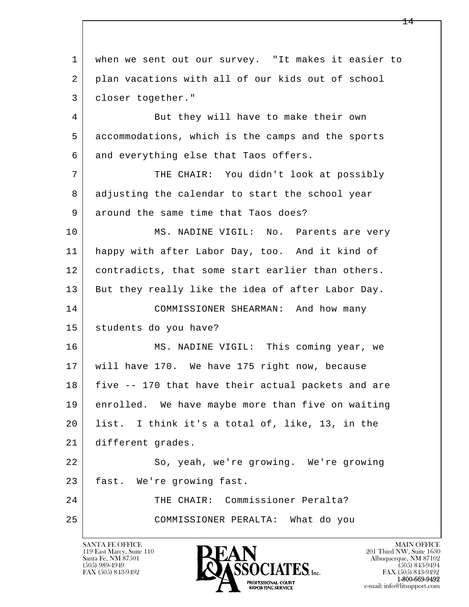l  $\overline{\phantom{a}}$  1 when we sent out our survey. "It makes it easier to 2 plan vacations with all of our kids out of school 3 closer together." 4 But they will have to make their own 5 accommodations, which is the camps and the sports 6 and everything else that Taos offers. 7 THE CHAIR: You didn't look at possibly 8 adjusting the calendar to start the school year 9 around the same time that Taos does? 10 MS. NADINE VIGIL: No. Parents are very 11 happy with after Labor Day, too. And it kind of 12 contradicts, that some start earlier than others. 13 But they really like the idea of after Labor Day. 14 COMMISSIONER SHEARMAN: And how many 15 students do you have? 16 MS. NADINE VIGIL: This coming year, we 17 will have 170. We have 175 right now, because 18 five -- 170 that have their actual packets and are 19 enrolled. We have maybe more than five on waiting 20 list. I think it's a total of, like, 13, in the 21 different grades. 22 So, yeah, we're growing. We're growing 23 fast. We're growing fast. 24 THE CHAIR: Commissioner Peralta? 25 COMMISSIONER PERALTA: What do you

119 East Marcy, Suite 110<br>Santa Fe, NM 87501



FAX (505) 843-9492 FAX (505) 843-9492 e-mail: info@litsupport.com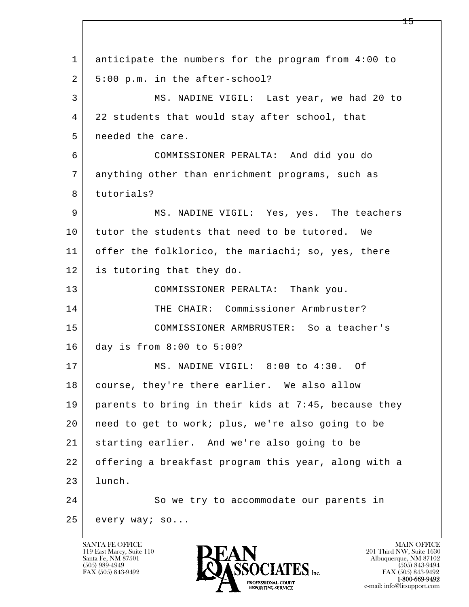l  $\overline{\phantom{a}}$  1 anticipate the numbers for the program from 4:00 to  $2 \mid 5:00 \text{ p.m.}$  in the after-school? 3 MS. NADINE VIGIL: Last year, we had 20 to 4 22 students that would stay after school, that 5 needed the care. 6 COMMISSIONER PERALTA: And did you do 7 anything other than enrichment programs, such as 8 tutorials? 9 MS. NADINE VIGIL: Yes, yes. The teachers 10 tutor the students that need to be tutored. We 11 | offer the folklorico, the mariachi; so, yes, there 12 is tutoring that they do. 13 COMMISSIONER PERALTA: Thank you. 14 THE CHAIR: Commissioner Armbruster? 15 COMMISSIONER ARMBRUSTER: So a teacher's 16 day is from 8:00 to 5:00? 17 MS. NADINE VIGIL: 8:00 to 4:30. Of 18 | course, they're there earlier. We also allow 19 parents to bring in their kids at 7:45, because they 20 need to get to work; plus, we're also going to be 21 starting earlier. And we're also going to be 22 offering a breakfast program this year, along with a 23 lunch. 24 So we try to accommodate our parents in 25 every way; so...

119 East Marcy, Suite 110<br>Santa Fe, NM 87501

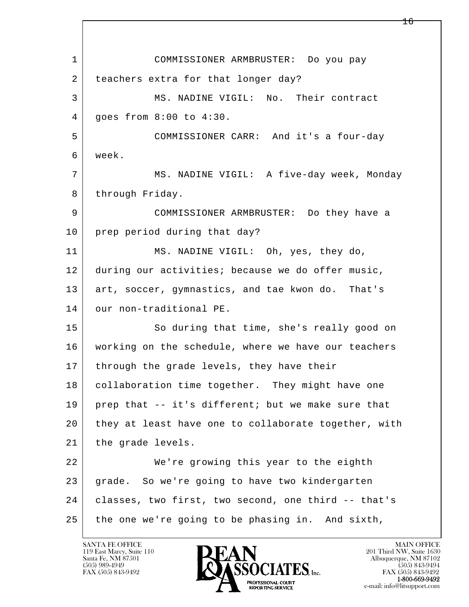l  $\overline{\phantom{a}}$  1 COMMISSIONER ARMBRUSTER: Do you pay 2 teachers extra for that longer day? 3 MS. NADINE VIGIL: No. Their contract 4 goes from 8:00 to 4:30. 5 COMMISSIONER CARR: And it's a four-day 6 week. 7 MS. NADINE VIGIL: A five-day week, Monday 8 through Friday. 9 COMMISSIONER ARMBRUSTER: Do they have a 10 prep period during that day? 11 MS. NADINE VIGIL: Oh, yes, they do, 12 during our activities; because we do offer music, 13 art, soccer, gymnastics, and tae kwon do. That's 14 our non-traditional PE. 15 | So during that time, she's really good on 16 working on the schedule, where we have our teachers 17 | through the grade levels, they have their 18 | collaboration time together. They might have one 19 prep that -- it's different; but we make sure that 20 they at least have one to collaborate together, with 21 | the grade levels. 22 We're growing this year to the eighth 23 grade. So we're going to have two kindergarten 24 classes, two first, two second, one third -- that's 25 the one we're going to be phasing in. And sixth,

119 East Marcy, Suite 110<br>Santa Fe, NM 87501

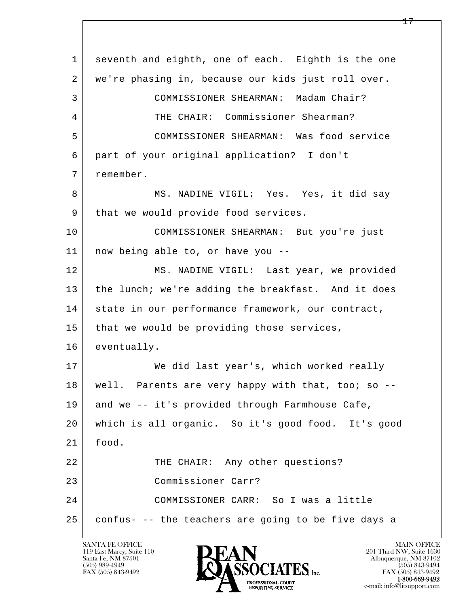l  $\overline{\phantom{a}}$  1 seventh and eighth, one of each. Eighth is the one 2 we're phasing in, because our kids just roll over. 3 COMMISSIONER SHEARMAN: Madam Chair? 4 THE CHAIR: Commissioner Shearman? 5 COMMISSIONER SHEARMAN: Was food service 6 part of your original application? I don't 7 remember. 8 MS. NADINE VIGIL: Yes. Yes, it did say 9 | that we would provide food services. 10 COMMISSIONER SHEARMAN: But you're just 11 now being able to, or have you -- 12 MS. NADINE VIGIL: Last year, we provided 13 the lunch; we're adding the breakfast. And it does 14 | state in our performance framework, our contract, 15 | that we would be providing those services, 16 eventually. 17 | We did last year's, which worked really 18 | well. Parents are very happy with that, too; so --19 and we -- it's provided through Farmhouse Cafe, 20 which is all organic. So it's good food. It's good 21 food. 22 THE CHAIR: Any other questions? 23 Commissioner Carr? 24 COMMISSIONER CARR: So I was a little  $25$  confus- -- the teachers are going to be five days a

119 East Marcy, Suite 110<br>Santa Fe, NM 87501

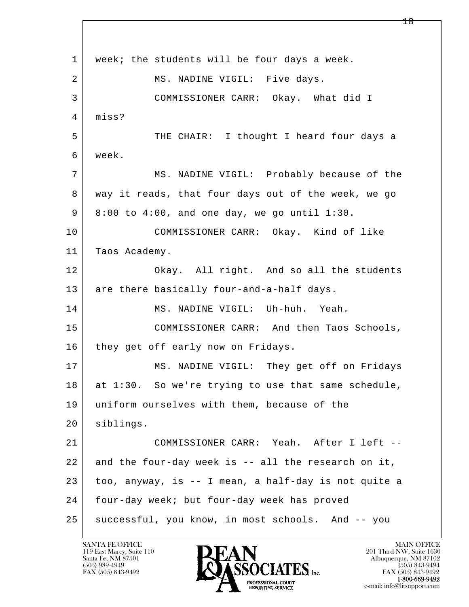l  $\overline{\phantom{a}}$ 1 | week; the students will be four days a week. 2 MS. NADINE VIGIL: Five days. 3 COMMISSIONER CARR: Okay. What did I 4 miss? 5 THE CHAIR: I thought I heard four days a 6 week. 7 MS. NADINE VIGIL: Probably because of the 8 way it reads, that four days out of the week, we go 9 8:00 to 4:00, and one day, we go until 1:30. 10 COMMISSIONER CARR: Okay. Kind of like 11 | Taos Academy. 12 Okay. All right. And so all the students 13 are there basically four-and-a-half days. 14 MS. NADINE VIGIL: Uh-huh. Yeah. 15 COMMISSIONER CARR: And then Taos Schools, 16 they get off early now on Fridays. 17 | MS. NADINE VIGIL: They get off on Fridays 18 at 1:30. So we're trying to use that same schedule, 19 uniform ourselves with them, because of the 20 siblings. 21 COMMISSIONER CARR: Yeah. After I left -- 22 and the four-day week is -- all the research on it, 23 too, anyway, is -- I mean, a half-day is not quite a 24 four-day week; but four-day week has proved 25 | successful, you know, in most schools. And -- you

119 East Marcy, Suite 110<br>Santa Fe, NM 87501

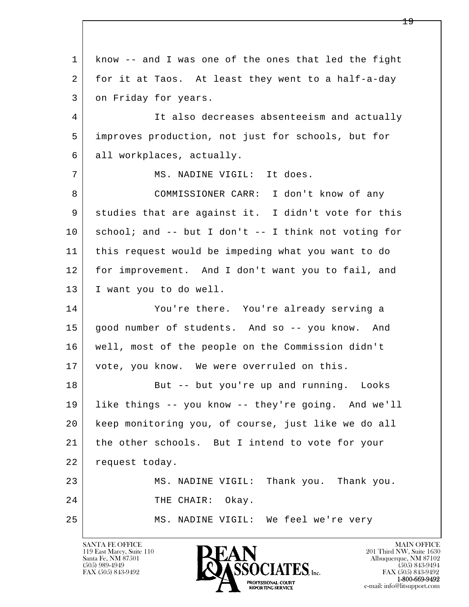l  $\overline{\phantom{a}}$  1 know -- and I was one of the ones that led the fight 2 for it at Taos. At least they went to a half-a-day 3 on Friday for years. 4 It also decreases absenteeism and actually 5 improves production, not just for schools, but for 6 all workplaces, actually. 7 | MS. NADINE VIGIL: It does. 8 COMMISSIONER CARR: I don't know of any 9 studies that are against it. I didn't vote for this  $10$  school; and -- but I don't -- I think not voting for 11 this request would be impeding what you want to do 12 for improvement. And I don't want you to fail, and 13 I want you to do well. 14 You're there. You're already serving a 15 good number of students. And so -- you know. And 16 well, most of the people on the Commission didn't 17 | vote, you know. We were overruled on this. 18 But -- but you're up and running. Looks 19 like things -- you know -- they're going. And we'll 20 keep monitoring you, of course, just like we do all 21 | the other schools. But I intend to vote for your 22 request today. 23 MS. NADINE VIGIL: Thank you. Thank you. 24 THE CHAIR: Okay. 25 MS. NADINE VIGIL: We feel we're very

119 East Marcy, Suite 110<br>Santa Fe, NM 87501

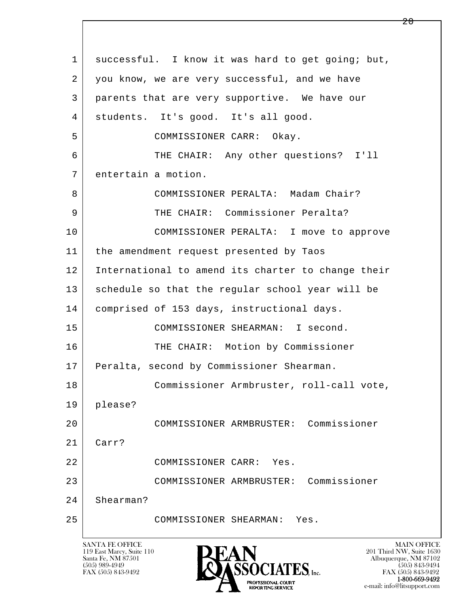| $\mathbf{1}$   | successful. I know it was hard to get going; but,  |
|----------------|----------------------------------------------------|
| $\overline{2}$ | you know, we are very successful, and we have      |
| 3              | parents that are very supportive. We have our      |
| 4              | students. It's good. It's all good.                |
| 5              | COMMISSIONER CARR: Okay.                           |
| 6              | THE CHAIR: Any other questions? I'll               |
| 7              | entertain a motion.                                |
| 8              | COMMISSIONER PERALTA: Madam Chair?                 |
| 9              | THE CHAIR: Commissioner Peralta?                   |
| 10             | COMMISSIONER PERALTA: I move to approve            |
| 11             | the amendment request presented by Taos            |
| 12             | International to amend its charter to change their |
| 13             | schedule so that the regular school year will be   |
| 14             | comprised of 153 days, instructional days.         |
| 15             | COMMISSIONER SHEARMAN: I second.                   |
| 16             | THE CHAIR: Motion by Commissioner                  |
| 17             | Peralta, second by Commissioner Shearman.          |
| 18             | Commissioner Armbruster, roll-call vote,           |
| 19             | please?                                            |
| 20             | COMMISSIONER ARMBRUSTER: Commissioner              |
| 21             | Carr?                                              |
| 22             | COMMISSIONER CARR:<br>Yes.                         |
| 23             | COMMISSIONER ARMBRUSTER: Commissioner              |
| 24             | Shearman?                                          |
| 25             | COMMISSIONER SHEARMAN:<br>Yes.                     |
|                |                                                    |

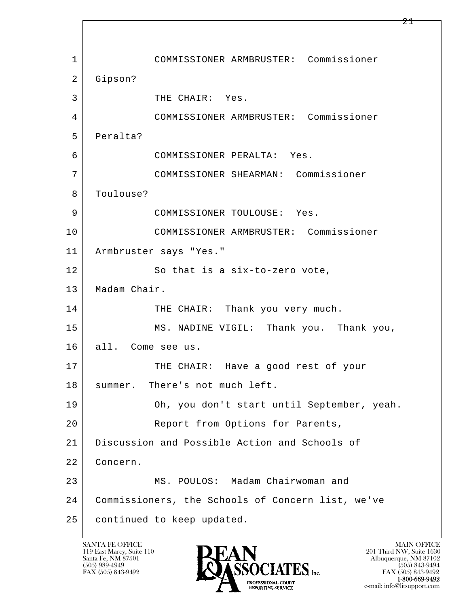l  $\overline{\phantom{a}}$  1 COMMISSIONER ARMBRUSTER: Commissioner 2 Gipson? 3 THE CHAIR: Yes. 4 COMMISSIONER ARMBRUSTER: Commissioner 5 Peralta? 6 COMMISSIONER PERALTA: Yes. 7 COMMISSIONER SHEARMAN: Commissioner 8 | Toulouse? 9 COMMISSIONER TOULOUSE: Yes. 10 COMMISSIONER ARMBRUSTER: Commissioner 11 Armbruster says "Yes." 12 So that is a six-to-zero vote, 13 | Madam Chair. 14 THE CHAIR: Thank you very much. 15 MS. NADINE VIGIL: Thank you. Thank you, 16 all. Come see us. 17 THE CHAIR: Have a good rest of your 18 | summer. There's not much left. 19 Oh, you don't start until September, yeah. 20 Report from Options for Parents, 21 Discussion and Possible Action and Schools of 22 Concern. 23 MS. POULOS: Madam Chairwoman and 24 Commissioners, the Schools of Concern list, we've 25 continued to keep updated.

119 East Marcy, Suite 110<br>Santa Fe, NM 87501

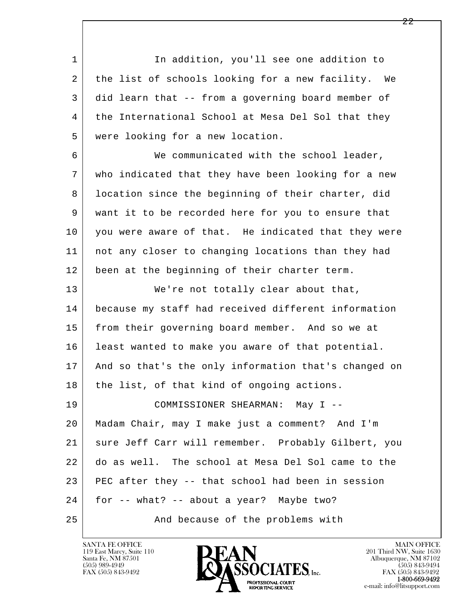l  $\overline{\phantom{a}}$ 1 1 In addition, you'll see one addition to 2 the list of schools looking for a new facility. We 3 did learn that -- from a governing board member of 4 | the International School at Mesa Del Sol that they 5 were looking for a new location. 6 We communicated with the school leader, 7 who indicated that they have been looking for a new 8 | location since the beginning of their charter, did 9 want it to be recorded here for you to ensure that 10 you were aware of that. He indicated that they were 11 not any closer to changing locations than they had 12 been at the beginning of their charter term. 13 | We're not totally clear about that, 14 because my staff had received different information 15 | from their governing board member. And so we at 16 least wanted to make you aware of that potential. 17 And so that's the only information that's changed on 18 | the list, of that kind of ongoing actions. 19 COMMISSIONER SHEARMAN: May I -- 20 Madam Chair, may I make just a comment? And I'm 21 sure Jeff Carr will remember. Probably Gilbert, you 22 do as well. The school at Mesa Del Sol came to the 23 PEC after they -- that school had been in session 24 for -- what? -- about a year? Maybe two? 25 And because of the problems with

119 East Marcy, Suite 110<br>Santa Fe, NM 87501



FAX (505) 843-9492<br>**1-800-669-9492**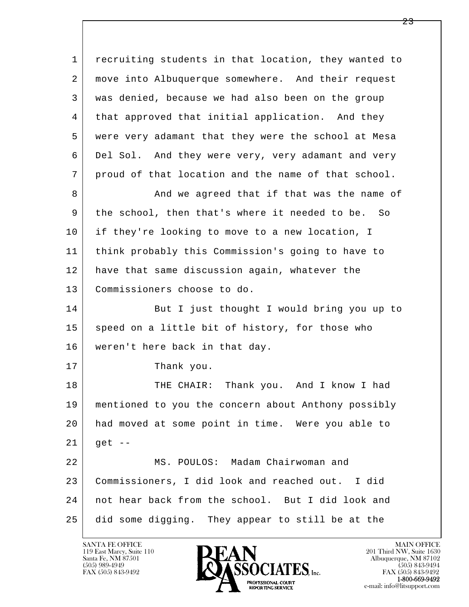l  $\overline{\phantom{a}}$  1 recruiting students in that location, they wanted to 2 move into Albuquerque somewhere. And their request 3 was denied, because we had also been on the group 4 that approved that initial application. And they 5 were very adamant that they were the school at Mesa 6 Del Sol. And they were very, very adamant and very 7 proud of that location and the name of that school. 8 And we agreed that if that was the name of 9 the school, then that's where it needed to be. So 10 if they're looking to move to a new location, I 11 think probably this Commission's going to have to 12 have that same discussion again, whatever the 13 Commissioners choose to do. 14 But I just thought I would bring you up to 15 speed on a little bit of history, for those who 16 weren't here back in that day. 17 Thank you. 18 THE CHAIR: Thank you. And I know I had 19 mentioned to you the concern about Anthony possibly 20 had moved at some point in time. Were you able to  $21$  get -- 22 MS. POULOS: Madam Chairwoman and 23 Commissioners, I did look and reached out. I did 24 not hear back from the school. But I did look and 25 did some digging. They appear to still be at the

119 East Marcy, Suite 110<br>Santa Fe, NM 87501



FAX (505) 843-9492<br>**1-800-669-9492**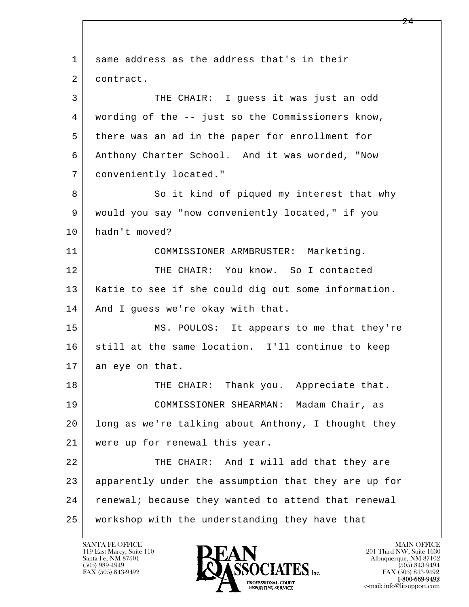l  $\overline{\phantom{a}}$ 1 same address as the address that's in their 2 contract. 3 THE CHAIR: I guess it was just an odd 4 wording of the -- just so the Commissioners know, 5 there was an ad in the paper for enrollment for 6 Anthony Charter School. And it was worded, "Now 7 conveniently located." 8 So it kind of piqued my interest that why 9 would you say "now conveniently located," if you 10 hadn't moved? 11 COMMISSIONER ARMBRUSTER: Marketing. 12 THE CHAIR: You know. So I contacted 13 Katie to see if she could dig out some information. 14 And I quess we're okay with that. 15 MS. POULOS: It appears to me that they're 16 still at the same location. I'll continue to keep 17 an eye on that. 18 THE CHAIR: Thank you. Appreciate that. 19 COMMISSIONER SHEARMAN: Madam Chair, as 20 long as we're talking about Anthony, I thought they 21 were up for renewal this year. 22 THE CHAIR: And I will add that they are 23 apparently under the assumption that they are up for 24 | renewal; because they wanted to attend that renewal 25 workshop with the understanding they have that

119 East Marcy, Suite 110<br>Santa Fe, NM 87501

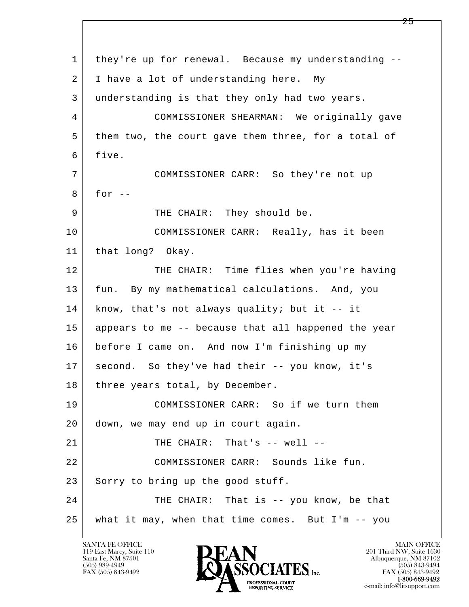l  $\overline{\phantom{a}}$  1 they're up for renewal. Because my understanding -- 2 | I have a lot of understanding here. My 3 understanding is that they only had two years. 4 COMMISSIONER SHEARMAN: We originally gave 5 them two, the court gave them three, for a total of 6 five. 7 COMMISSIONER CARR: So they're not up  $8$  for  $-$ 9 | THE CHAIR: They should be. 10 COMMISSIONER CARR: Really, has it been 11 | that long? Okay. 12 THE CHAIR: Time flies when you're having 13 fun. By my mathematical calculations. And, you 14 know, that's not always quality; but it -- it 15 appears to me -- because that all happened the year 16 before I came on. And now I'm finishing up my 17 | second. So they've had their -- you know, it's 18 | three years total, by December. 19 COMMISSIONER CARR: So if we turn them 20 down, we may end up in court again. 21 THE CHAIR: That's -- well -- 22 COMMISSIONER CARR: Sounds like fun. 23 Sorry to bring up the good stuff. 24 THE CHAIR: That is -- you know, be that 25 what it may, when that time comes. But I'm -- you

119 East Marcy, Suite 110<br>Santa Fe, NM 87501

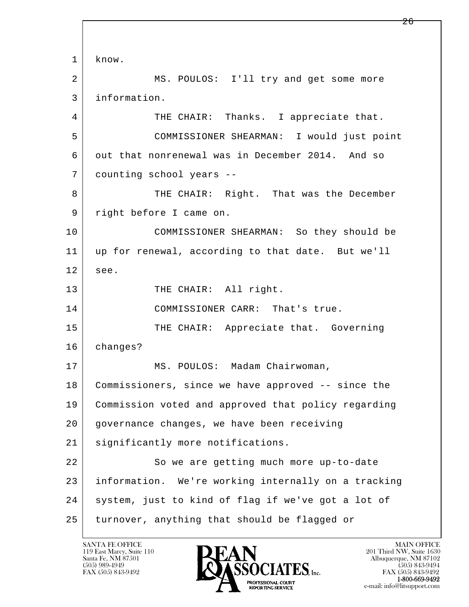l  $\overline{\phantom{a}}$  1 know. 2 MS. POULOS: I'll try and get some more 3 information. 4 THE CHAIR: Thanks. I appreciate that. 5 COMMISSIONER SHEARMAN: I would just point 6 out that nonrenewal was in December 2014. And so 7 counting school years -- 8 THE CHAIR: Right. That was the December 9 | right before I came on. 10 COMMISSIONER SHEARMAN: So they should be 11 up for renewal, according to that date. But we'll  $12$  see. 13 THE CHAIR: All right. 14 COMMISSIONER CARR: That's true. 15 THE CHAIR: Appreciate that. Governing 16 changes? 17 | MS. POULOS: Madam Chairwoman, 18 Commissioners, since we have approved -- since the 19 Commission voted and approved that policy regarding 20 governance changes, we have been receiving 21 | significantly more notifications. 22 So we are getting much more up-to-date 23 information. We're working internally on a tracking 24 | system, just to kind of flag if we've got a lot of 25 turnover, anything that should be flagged or

119 East Marcy, Suite 110<br>Santa Fe, NM 87501



FAX (505) 843-9492 FAX (505) 843-9492 e-mail: info@litsupport.com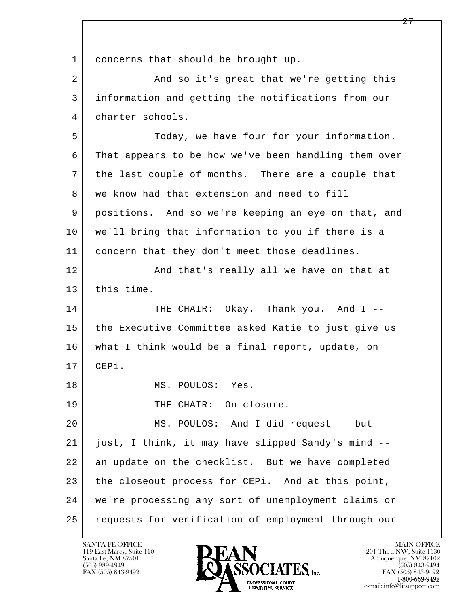l  $\overline{\phantom{a}}$ 1 concerns that should be brought up. 2 And so it's great that we're getting this 3 information and getting the notifications from our 4 charter schools. 5 Today, we have four for your information. 6 That appears to be how we've been handling them over 7 the last couple of months. There are a couple that 8 we know had that extension and need to fill 9 positions. And so we're keeping an eye on that, and 10 we'll bring that information to you if there is a 11 concern that they don't meet those deadlines. 12 | And that's really all we have on that at 13 this time. 14 THE CHAIR: Okay. Thank you. And I --15 the Executive Committee asked Katie to just give us 16 what I think would be a final report, update, on 17 CEPi. 18 MS. POULOS: Yes. 19 | THE CHAIR: On closure. 20 MS. POULOS: And I did request -- but 21 just, I think, it may have slipped Sandy's mind -- 22 an update on the checklist. But we have completed 23 the closeout process for CEPi. And at this point, 24 we're processing any sort of unemployment claims or 25 requests for verification of employment through our

119 East Marcy, Suite 110<br>Santa Fe, NM 87501

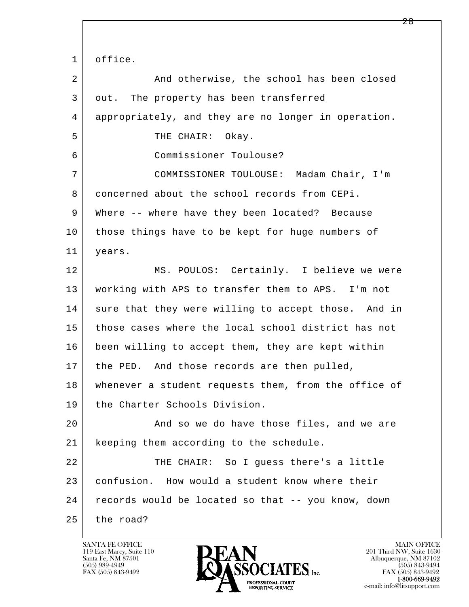l  $\overline{\phantom{a}}$ 1 office. 2 And otherwise, the school has been closed 3 out. The property has been transferred 4 appropriately, and they are no longer in operation. 5 THE CHAIR: Okay. 6 Commissioner Toulouse? 7 COMMISSIONER TOULOUSE: Madam Chair, I'm 8 concerned about the school records from CEPi. 9 Where -- where have they been located? Because 10 those things have to be kept for huge numbers of 11 years. 12 MS. POULOS: Certainly. I believe we were 13 working with APS to transfer them to APS. I'm not 14 sure that they were willing to accept those. And in 15 those cases where the local school district has not 16 been willing to accept them, they are kept within 17 | the PED. And those records are then pulled, 18 whenever a student requests them, from the office of 19 the Charter Schools Division. 20 | The and so we do have those files, and we are 21 keeping them according to the schedule. 22 THE CHAIR: So I quess there's a little 23 confusion. How would a student know where their 24 records would be located so that -- you know, down 25 the road?

119 East Marcy, Suite 110<br>Santa Fe, NM 87501



FAX (505) 843-9492<br>1-800-669-9492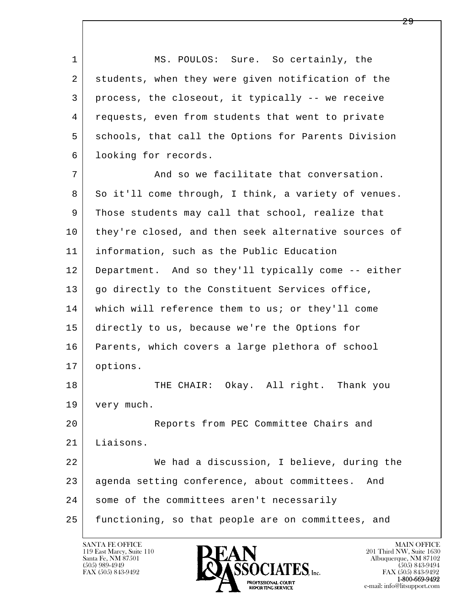1 MS. POULOS: Sure. So certainly, the 2 students, when they were given notification of the 3 process, the closeout, it typically -- we receive 4 requests, even from students that went to private 5 schools, that call the Options for Parents Division 6 looking for records.

7 And so we facilitate that conversation. 8 So it'll come through, I think, a variety of venues. 9 Those students may call that school, realize that 10 they're closed, and then seek alternative sources of 11 information, such as the Public Education 12 Department. And so they'll typically come -- either 13 | go directly to the Constituent Services office, 14 which will reference them to us; or they'll come 15 directly to us, because we're the Options for 16 Parents, which covers a large plethora of school 17 options.

18 THE CHAIR: Okay. All right. Thank you 19 | very much.

l  $\overline{\phantom{a}}$ 20 Reports from PEC Committee Chairs and 21 Liaisons. 22 We had a discussion, I believe, during the 23 agenda setting conference, about committees. And 24 | some of the committees aren't necessarily

25 functioning, so that people are on committees, and

119 East Marcy, Suite 110<br>Santa Fe, NM 87501



FAX (505) 843-9492<br>**1-800-669-9492**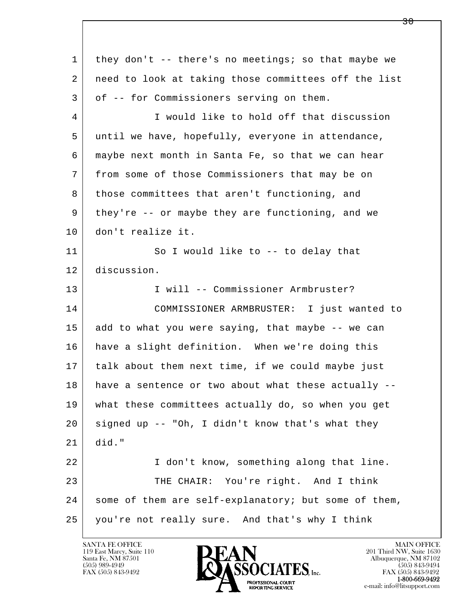| $\mathbf{1}$ | they don't -- there's no meetings; so that maybe we  |
|--------------|------------------------------------------------------|
| 2            | need to look at taking those committees off the list |
| 3            | of -- for Commissioners serving on them.             |
| 4            | I would like to hold off that discussion             |
| 5            | until we have, hopefully, everyone in attendance,    |
| 6            | maybe next month in Santa Fe, so that we can hear    |
| 7            | from some of those Commissioners that may be on      |
| 8            | those committees that aren't functioning, and        |
| 9            | they're -- or maybe they are functioning, and we     |
| 10           | don't realize it.                                    |
| 11           | So I would like to -- to delay that                  |
| 12           | discussion.                                          |
| 13           | I will -- Commissioner Armbruster?                   |
| 14           | COMMISSIONER ARMBRUSTER: I just wanted to            |
| 15           | add to what you were saying, that maybe -- we can    |
| 16           | have a slight definition. When we're doing this      |
| 17           | talk about them next time, if we could maybe just    |
| 18           | have a sentence or two about what these actually --  |
| 19           | what these committees actually do, so when you get   |
| 20           | signed up -- "Oh, I didn't know that's what they     |
| 21           | did."                                                |
| 22           | I don't know, something along that line.             |
| 23           | THE CHAIR: You're right. And I think                 |
| 24           | some of them are self-explanatory; but some of them, |
| 25           | you're not really sure. And that's why I think       |

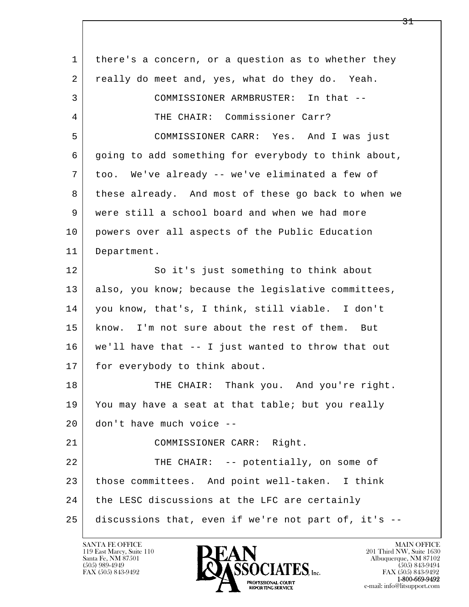| $\mathbf 1$ | there's a concern, or a question as to whether they  |
|-------------|------------------------------------------------------|
| 2           | really do meet and, yes, what do they do. Yeah.      |
| 3           | COMMISSIONER ARMBRUSTER: In that --                  |
| 4           | THE CHAIR: Commissioner Carr?                        |
| 5           | COMMISSIONER CARR: Yes. And I was just               |
| 6           | going to add something for everybody to think about, |
| 7           | too. We've already -- we've eliminated a few of      |
| 8           | these already. And most of these go back to when we  |
| 9           | were still a school board and when we had more       |
| 10          | powers over all aspects of the Public Education      |
| 11          | Department.                                          |
| 12          | So it's just something to think about                |
| 13          | also, you know; because the legislative committees,  |
| 14          | you know, that's, I think, still viable. I don't     |
| 15          | know. I'm not sure about the rest of them. But       |
| 16          | we'll have that -- I just wanted to throw that out   |
| 17          | for everybody to think about.                        |
| 18          | THE CHAIR: Thank you. And you're right.              |
| 19          | You may have a seat at that table; but you really    |
| 20          | don't have much voice --                             |
| 21          | COMMISSIONER CARR: Right.                            |
| 22          | THE CHAIR: -- potentially, on some of                |
| 23          | those committees. And point well-taken. I think      |
| 24          | the LESC discussions at the LFC are certainly        |
| 25          | discussions that, even if we're not part of, it's -- |

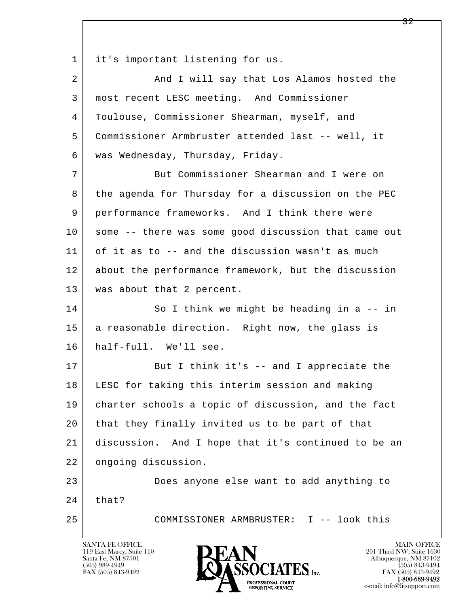1 it's important listening for us.

| $\overline{2}$ | And I will say that Los Alamos hosted the            |
|----------------|------------------------------------------------------|
| 3              | most recent LESC meeting. And Commissioner           |
| 4              | Toulouse, Commissioner Shearman, myself, and         |
| 5              | Commissioner Armbruster attended last -- well, it    |
| 6              | was Wednesday, Thursday, Friday.                     |
| 7              | But Commissioner Shearman and I were on              |
| 8              | the agenda for Thursday for a discussion on the PEC  |
| 9              | performance frameworks. And I think there were       |
| 10             | some -- there was some good discussion that came out |
| 11             | of it as to -- and the discussion wasn't as much     |
| 12             | about the performance framework, but the discussion  |
| 13             | was about that 2 percent.                            |
| 14             | So I think we might be heading in a -- in            |
| 15             | a reasonable direction. Right now, the glass is      |
| 16             | half-full. We'll see.                                |
| 17             | But I think it's -- and I appreciate the             |
| 18             | LESC for taking this interim session and making      |
| 19             | charter schools a topic of discussion, and the fact  |
| 20             | that they finally invited us to be part of that      |
| 21             | discussion. And I hope that it's continued to be an  |
| 22             | ongoing discussion.                                  |
| 23             | Does anyone else want to add anything to             |
| 24             | that?                                                |
| 25             | COMMISSIONER ARMBRUSTER: I -- look this              |
|                |                                                      |

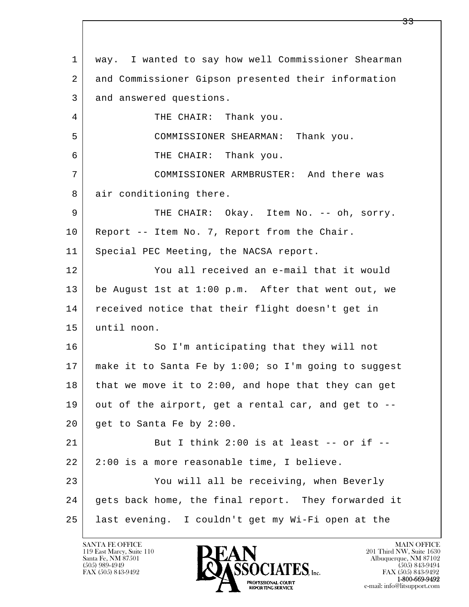l  $\overline{\phantom{a}}$  1 way. I wanted to say how well Commissioner Shearman 2 and Commissioner Gipson presented their information 3 and answered questions. 4 THE CHAIR: Thank you. 5 COMMISSIONER SHEARMAN: Thank you. 6 THE CHAIR: Thank you. 7 COMMISSIONER ARMBRUSTER: And there was 8 air conditioning there. 9 THE CHAIR: Okay. Item No. -- oh, sorry. 10 Report -- Item No. 7, Report from the Chair. 11 | Special PEC Meeting, the NACSA report. 12 You all received an e-mail that it would 13 be August 1st at 1:00 p.m. After that went out, we 14 received notice that their flight doesn't get in 15 until noon. 16 So I'm anticipating that they will not 17 make it to Santa Fe by 1:00; so I'm going to suggest  $18$  that we move it to 2:00, and hope that they can get 19 out of the airport, get a rental car, and get to --20 get to Santa Fe by 2:00. 21 But I think 2:00 is at least  $--$  or if  $- 22$  | 2:00 is a more reasonable time, I believe. 23 You will all be receiving, when Beverly 24 gets back home, the final report. They forwarded it 25 last evening. I couldn't get my Wi-Fi open at the

119 East Marcy, Suite 110<br>Santa Fe, NM 87501

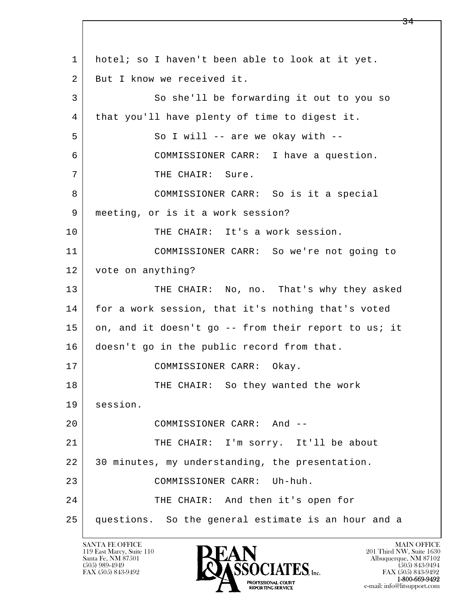l  $\overline{\phantom{a}}$  1 hotel; so I haven't been able to look at it yet. 2 But I know we received it. 3 So she'll be forwarding it out to you so 4 | that you'll have plenty of time to digest it. 5 So I will -- are we okay with -- 6 COMMISSIONER CARR: I have a question. 7 | THE CHAIR: Sure. 8 COMMISSIONER CARR: So is it a special 9 meeting, or is it a work session? 10 THE CHAIR: It's a work session. 11 COMMISSIONER CARR: So we're not going to 12 vote on anything? 13 THE CHAIR: No, no. That's why they asked 14 for a work session, that it's nothing that's voted 15 on, and it doesn't go -- from their report to us; it 16 | doesn't go in the public record from that. 17 | COMMISSIONER CARR: Okay. 18 THE CHAIR: So they wanted the work 19 session. 20 COMMISSIONER CARR: And -- 21 THE CHAIR: I'm sorry. It'll be about 22 30 minutes, my understanding, the presentation. 23 COMMISSIONER CARR: Uh-huh. 24 THE CHAIR: And then it's open for 25 questions. So the general estimate is an hour and a

119 East Marcy, Suite 110<br>Santa Fe, NM 87501

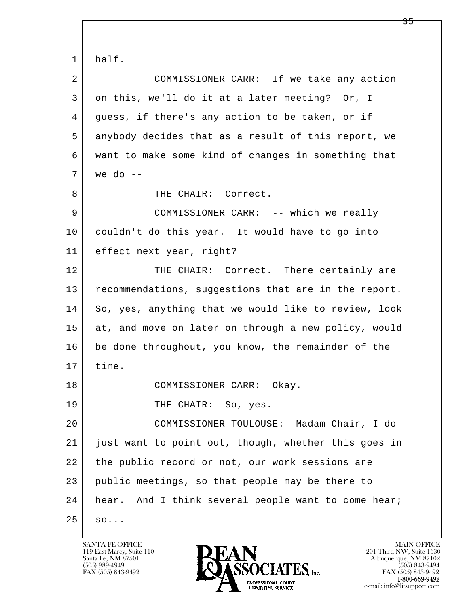l  $\overline{\phantom{a}}$  1 half. 2 COMMISSIONER CARR: If we take any action 3 on this, we'll do it at a later meeting? Or, I 4 guess, if there's any action to be taken, or if 5 anybody decides that as a result of this report, we 6 want to make some kind of changes in something that  $7$  we do  $-$ 8 THE CHAIR: Correct. 9 COMMISSIONER CARR: -- which we really 10 couldn't do this year. It would have to go into 11 effect next year, right? 12 THE CHAIR: Correct. There certainly are 13 recommendations, suggestions that are in the report. 14 So, yes, anything that we would like to review, look 15 at, and move on later on through a new policy, would 16 be done throughout, you know, the remainder of the 17 time. 18 COMMISSIONER CARR: Okay. 19 THE CHAIR: So, yes. 20 COMMISSIONER TOULOUSE: Madam Chair, I do 21 just want to point out, though, whether this goes in 22 the public record or not, our work sessions are 23 public meetings, so that people may be there to 24 | hear. And I think several people want to come hear;  $25$  so...

119 East Marcy, Suite 110<br>Santa Fe, NM 87501

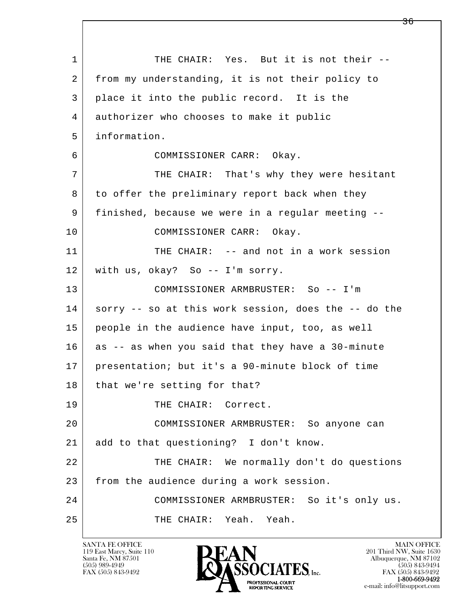l  $\overline{\phantom{a}}$ 1 THE CHAIR: Yes. But it is not their -- 2 from my understanding, it is not their policy to 3 place it into the public record. It is the 4 authorizer who chooses to make it public 5 information. 6 COMMISSIONER CARR: Okay. 7 THE CHAIR: That's why they were hesitant 8 to offer the preliminary report back when they 9 finished, because we were in a regular meeting -- 10 COMMISSIONER CARR: Okay. 11 THE CHAIR: -- and not in a work session 12 with us, okay? So -- I'm sorry. 13 COMMISSIONER ARMBRUSTER: So -- I'm 14 sorry -- so at this work session, does the -- do the 15 people in the audience have input, too, as well 16 as -- as when you said that they have a 30-minute 17 presentation; but it's a 90-minute block of time 18 | that we're setting for that? 19 THE CHAIR: Correct. 20 COMMISSIONER ARMBRUSTER: So anyone can 21 add to that questioning? I don't know. 22 THE CHAIR: We normally don't do questions 23 from the audience during a work session. 24 COMMISSIONER ARMBRUSTER: So it's only us. 25 THE CHAIR: Yeah. Yeah.

119 East Marcy, Suite 110<br>Santa Fe, NM 87501

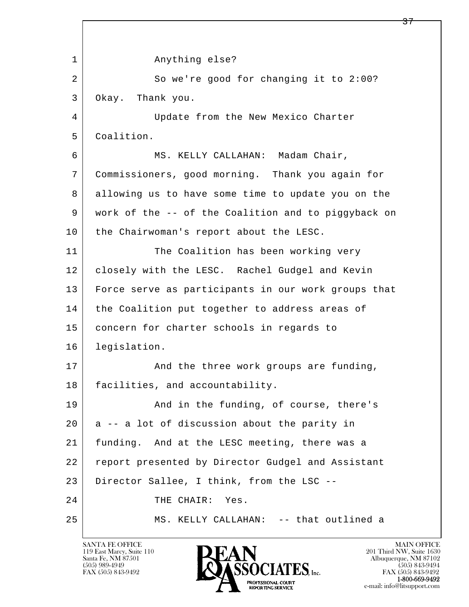l  $\overline{\phantom{a}}$  1 Anything else? 2 So we're good for changing it to 2:00? 3 Okay. Thank you. 4 Update from the New Mexico Charter 5 Coalition. 6 MS. KELLY CALLAHAN: Madam Chair, 7 Commissioners, good morning. Thank you again for 8 allowing us to have some time to update you on the 9 work of the -- of the Coalition and to piggyback on 10 | the Chairwoman's report about the LESC. 11 The Coalition has been working very 12 | closely with the LESC. Rachel Gudgel and Kevin 13 Force serve as participants in our work groups that 14 | the Coalition put together to address areas of 15 | concern for charter schools in regards to 16 legislation. 17 | And the three work groups are funding, 18 | facilities, and accountability. 19 And in the funding, of course, there's  $20$  a -- a lot of discussion about the parity in 21 funding. And at the LESC meeting, there was a 22 report presented by Director Gudgel and Assistant 23 Director Sallee, I think, from the LSC -- 24 THE CHAIR: Yes. 25 MS. KELLY CALLAHAN: -- that outlined a

119 East Marcy, Suite 110<br>Santa Fe, NM 87501

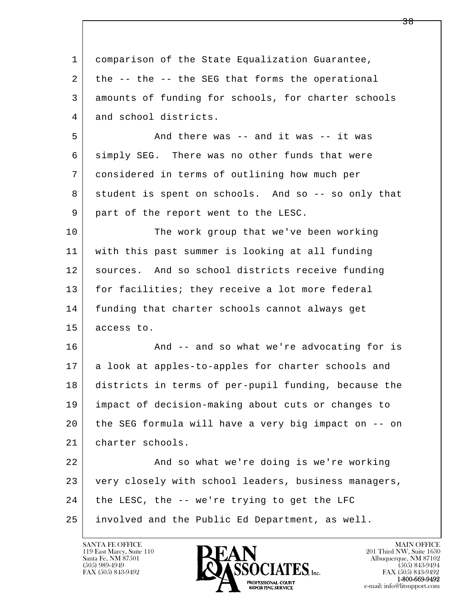| $\mathbf{1}$ | comparison of the State Equalization Guarantee,      |
|--------------|------------------------------------------------------|
| 2            | the -- the -- the SEG that forms the operational     |
| 3            | amounts of funding for schools, for charter schools  |
| 4            | and school districts.                                |
| 5            | And there was -- and it was -- it was                |
| 6            | simply SEG. There was no other funds that were       |
| 7            | considered in terms of outlining how much per        |
| 8            | student is spent on schools. And so -- so only that  |
| 9            | part of the report went to the LESC.                 |
| 10           | The work group that we've been working               |
| 11           | with this past summer is looking at all funding      |
| 12           | sources. And so school districts receive funding     |
| 13           | for facilities; they receive a lot more federal      |
| 14           | funding that charter schools cannot always get       |
| 15           | access to.                                           |
| 16           | And -- and so what we're advocating for is           |
| 17           | a look at apples-to-apples for charter schools and   |
| 18           | districts in terms of per-pupil funding, because the |
| 19           | impact of decision-making about cuts or changes to   |
| 20           | the SEG formula will have a very big impact on -- on |
| 21           | charter schools.                                     |
| 22           | And so what we're doing is we're working             |
| 23           | very closely with school leaders, business managers, |
| 24           | the LESC, the -- we're trying to get the LFC         |
| 25           | involved and the Public Ed Department, as well.      |

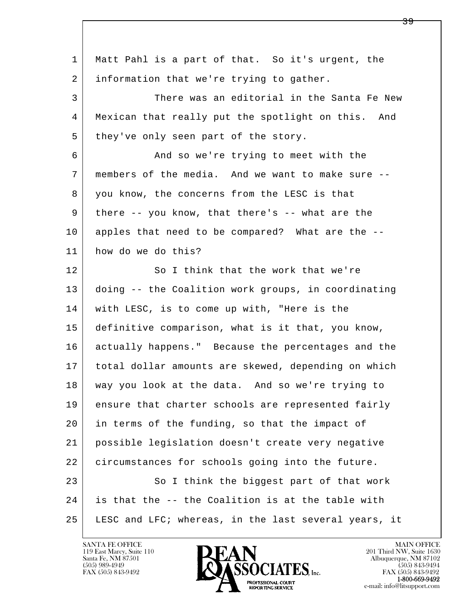| $\mathbf 1$ | Matt Pahl is a part of that. So it's urgent, the     |
|-------------|------------------------------------------------------|
| 2           | information that we're trying to gather.             |
| 3           | There was an editorial in the Santa Fe New           |
| 4           | Mexican that really put the spotlight on this. And   |
| 5           | they've only seen part of the story.                 |
| 6           | And so we're trying to meet with the                 |
| 7           | members of the media. And we want to make sure --    |
| 8           | you know, the concerns from the LESC is that         |
| 9           | there -- you know, that there's -- what are the      |
| 10          | apples that need to be compared? What are the --     |
| 11          | how do we do this?                                   |
| 12          | So I think that the work that we're                  |
| 13          | doing -- the Coalition work groups, in coordinating  |
| 14          | with LESC, is to come up with, "Here is the          |
| 15          | definitive comparison, what is it that, you know,    |
| 16          | actually happens." Because the percentages and the   |
| 17          | total dollar amounts are skewed, depending on which  |
| 18          | way you look at the data. And so we're trying to     |
| 19          | ensure that charter schools are represented fairly   |
| 20          | in terms of the funding, so that the impact of       |
| 21          | possible legislation doesn't create very negative    |
| 22          | circumstances for schools going into the future.     |
| 23          | So I think the biggest part of that work             |
| 24          | is that the -- the Coalition is at the table with    |
| 25          | LESC and LFC; whereas, in the last several years, it |

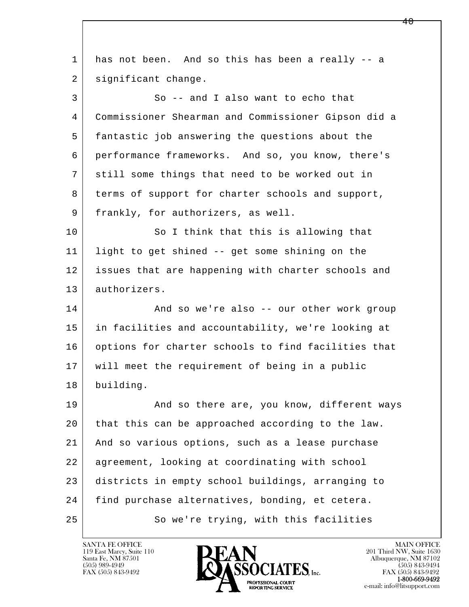| 1  | has not been. And so this has been a really -- a    |
|----|-----------------------------------------------------|
| 2  | significant change.                                 |
| 3  | So -- and I also want to echo that                  |
| 4  | Commissioner Shearman and Commissioner Gipson did a |
| 5  | fantastic job answering the questions about the     |
| 6  | performance frameworks. And so, you know, there's   |
| 7  | still some things that need to be worked out in     |
| 8  | terms of support for charter schools and support,   |
| 9  | frankly, for authorizers, as well.                  |
| 10 | So I think that this is allowing that               |
| 11 | light to get shined -- get some shining on the      |
| 12 | issues that are happening with charter schools and  |
| 13 | authorizers.                                        |
| 14 | And so we're also -- our other work group           |
| 15 | in facilities and accountability, we're looking at  |
| 16 | options for charter schools to find facilities that |
| 17 | will meet the requirement of being in a public      |
| 18 | building.                                           |
| 19 | And so there are, you know, different ways          |
| 20 | that this can be approached according to the law.   |
| 21 | And so various options, such as a lease purchase    |
| 22 | agreement, looking at coordinating with school      |
| 23 | districts in empty school buildings, arranging to   |
| 24 | find purchase alternatives, bonding, et cetera.     |
| 25 | So we're trying, with this facilities               |
|    |                                                     |

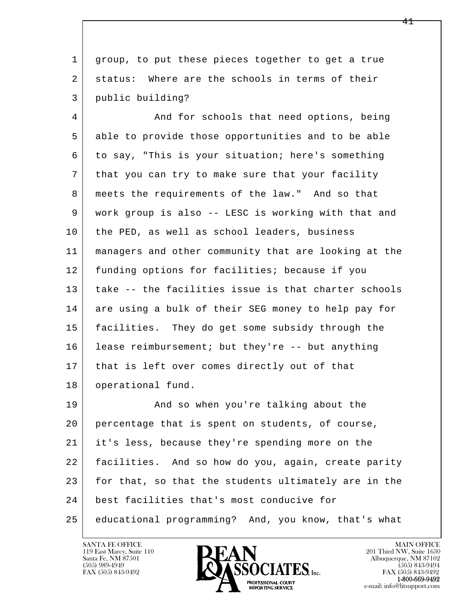1 group, to put these pieces together to get a true 2 status: Where are the schools in terms of their 3 public building?

4 And for schools that need options, being 5 able to provide those opportunities and to be able 6 to say, "This is your situation; here's something 7 that you can try to make sure that your facility 8 meets the requirements of the law." And so that 9 work group is also -- LESC is working with that and 10 | the PED, as well as school leaders, business 11 managers and other community that are looking at the 12 funding options for facilities; because if you 13 take -- the facilities issue is that charter schools 14 are using a bulk of their SEG money to help pay for 15 facilities. They do get some subsidy through the 16 lease reimbursement; but they're -- but anything 17 | that is left over comes directly out of that 18 | operational fund.

l  $\overline{\phantom{a}}$ 19 | And so when you're talking about the 20 percentage that is spent on students, of course, 21 it's less, because they're spending more on the 22 facilities. And so how do you, again, create parity 23 for that, so that the students ultimately are in the 24 best facilities that's most conducive for 25 educational programming? And, you know, that's what

119 East Marcy, Suite 110<br>Santa Fe, NM 87501



FAX (505) 843-9492<br>**1-800-669-9492**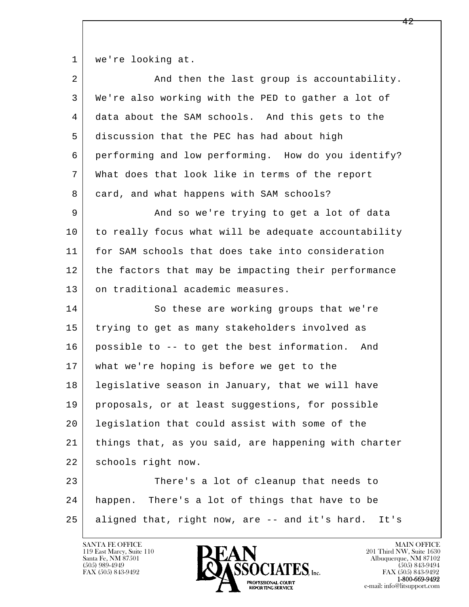1 | we're looking at.

| $\overline{2}$ | And then the last group is accountability.             |
|----------------|--------------------------------------------------------|
| 3              | We're also working with the PED to gather a lot of     |
| 4              | data about the SAM schools. And this gets to the       |
| 5              | discussion that the PEC has had about high             |
| 6              | performing and low performing. How do you identify?    |
| 7              | What does that look like in terms of the report        |
| 8              | card, and what happens with SAM schools?               |
| 9              | And so we're trying to get a lot of data               |
| 10             | to really focus what will be adequate accountability   |
| 11             | for SAM schools that does take into consideration      |
| 12             | the factors that may be impacting their performance    |
| 13             | on traditional academic measures.                      |
| 14             | So these are working groups that we're                 |
| 15             | trying to get as many stakeholders involved as         |
| 16             | possible to -- to get the best information.<br>And     |
| 17             | what we're hoping is before we get to the              |
| 18             | legislative season in January, that we will have       |
| 19             | proposals, or at least suggestions, for possible       |
| 20             | legislation that could assist with some of the         |
| 21             | things that, as you said, are happening with charter   |
| 22             | schools right now.                                     |
| 23             | There's a lot of cleanup that needs to                 |
| 24             | happen. There's a lot of things that have to be        |
| 25             | aligned that, right now, are -- and it's hard.<br>It's |
|                |                                                        |

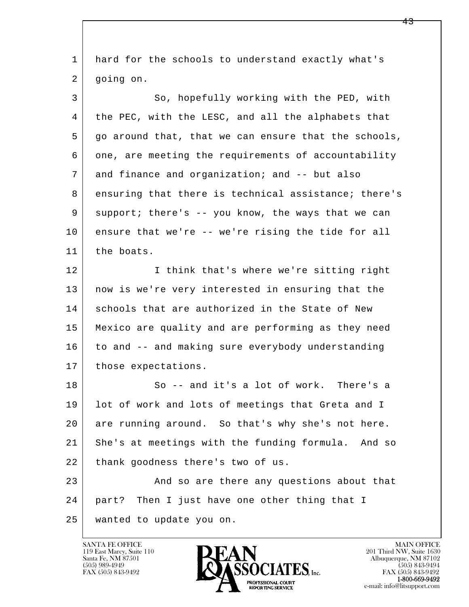| 1  | hard for the schools to understand exactly what's    |
|----|------------------------------------------------------|
| 2  | going on.                                            |
| 3  | So, hopefully working with the PED, with             |
| 4  | the PEC, with the LESC, and all the alphabets that   |
| 5  | go around that, that we can ensure that the schools, |
| 6  | one, are meeting the requirements of accountability  |
| 7  | and finance and organization; and -- but also        |
| 8  | ensuring that there is technical assistance; there's |
| 9  | support; there's -- you know, the ways that we can   |
| 10 | ensure that we're -- we're rising the tide for all   |
| 11 | the boats.                                           |
| 12 | I think that's where we're sitting right             |
| 13 | now is we're very interested in ensuring that the    |
| 14 | schools that are authorized in the State of New      |
| 15 | Mexico are quality and are performing as they need   |
| 16 | to and -- and making sure everybody understanding    |
| 17 | those expectations.                                  |
| 18 | So -- and it's a lot of work. There's a              |
| 19 | lot of work and lots of meetings that Greta and I    |
| 20 | are running around. So that's why she's not here.    |
| 21 | She's at meetings with the funding formula. And so   |
| 22 | thank goodness there's two of us.                    |
| 23 | And so are there any questions about that            |
| 24 | part? Then I just have one other thing that I        |
| 25 | wanted to update you on.                             |
|    |                                                      |

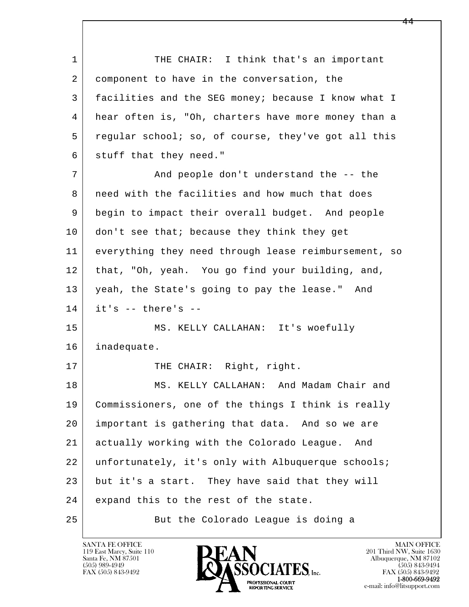l  $\overline{\phantom{a}}$ 1 THE CHAIR: I think that's an important 2 component to have in the conversation, the 3 facilities and the SEG money; because I know what I 4 hear often is, "Oh, charters have more money than a 5 regular school; so, of course, they've got all this 6 stuff that they need." 7 and people don't understand the -- the 8 | need with the facilities and how much that does 9 begin to impact their overall budget. And people 10 don't see that; because they think they get 11 everything they need through lease reimbursement, so 12 that, "Oh, yeah. You go find your building, and, 13 yeah, the State's going to pay the lease." And  $14$  it's  $-$  there's  $-$  15 MS. KELLY CALLAHAN: It's woefully 16 inadequate. 17 THE CHAIR: Right, right. 18 | MS. KELLY CALLAHAN: And Madam Chair and 19 Commissioners, one of the things I think is really 20 important is gathering that data. And so we are 21 actually working with the Colorado League. And 22 unfortunately, it's only with Albuquerque schools; 23 but it's a start. They have said that they will 24 expand this to the rest of the state. 25 But the Colorado League is doing a

119 East Marcy, Suite 110<br>Santa Fe, NM 87501



FAX (505) 843-9492<br>**1-800-669-9492**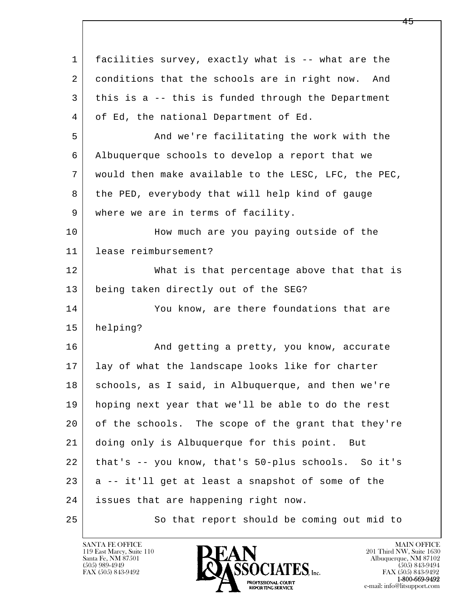| $\mathbf 1$ | facilities survey, exactly what is -- what are the   |
|-------------|------------------------------------------------------|
| 2           | conditions that the schools are in right now. And    |
| 3           | this is a -- this is funded through the Department   |
| 4           | of Ed, the national Department of Ed.                |
| 5           | And we're facilitating the work with the             |
| 6           | Albuquerque schools to develop a report that we      |
| 7           | would then make available to the LESC, LFC, the PEC, |
| 8           | the PED, everybody that will help kind of gauge      |
| 9           | where we are in terms of facility.                   |
| 10          | How much are you paying outside of the               |
| 11          | lease reimbursement?                                 |
| 12          | What is that percentage above that that is           |
| 13          | being taken directly out of the SEG?                 |
| 14          | You know, are there foundations that are             |
| 15          | helping?                                             |
| 16          | And getting a pretty, you know, accurate             |
| 17          | lay of what the landscape looks like for charter     |
| 18          | schools, as I said, in Albuquerque, and then we're   |
| 19          | hoping next year that we'll be able to do the rest   |
| 20          | of the schools. The scope of the grant that they're  |
| 21          | doing only is Albuquerque for this point. But        |
| 22          | that's -- you know, that's 50-plus schools. So it's  |
| 23          | a -- it'll get at least a snapshot of some of the    |
| 24          | issues that are happening right now.                 |
| 25          | So that report should be coming out mid to           |

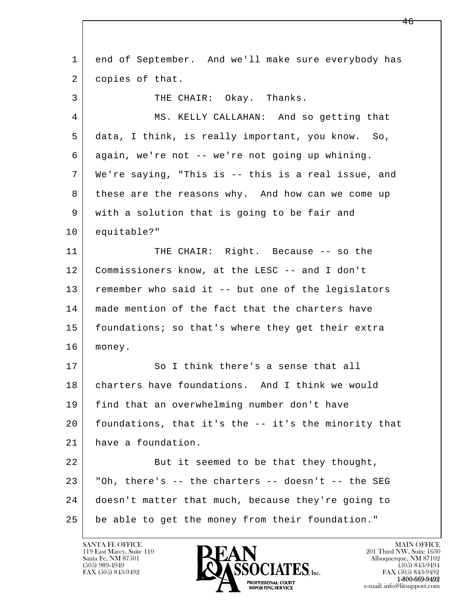l  $\overline{\phantom{a}}$  1 end of September. And we'll make sure everybody has 2 copies of that. 3 THE CHAIR: Okay. Thanks. 4 MS. KELLY CALLAHAN: And so getting that 5 data, I think, is really important, you know. So, 6 again, we're not -- we're not going up whining. 7 We're saying, "This is -- this is a real issue, and 8 these are the reasons why. And how can we come up 9 with a solution that is going to be fair and 10 equitable?" 11 THE CHAIR: Right. Because -- so the 12 Commissioners know, at the LESC -- and I don't 13 remember who said it -- but one of the legislators 14 | made mention of the fact that the charters have 15 | foundations; so that's where they get their extra 16 money. 17 So I think there's a sense that all 18 charters have foundations. And I think we would 19 find that an overwhelming number don't have 20 foundations, that it's the -- it's the minority that 21 have a foundation. 22 But it seemed to be that they thought,  $23$   $\vert$  "Oh, there's -- the charters -- doesn't -- the SEG 24 doesn't matter that much, because they're going to 25 | be able to get the money from their foundation."

119 East Marcy, Suite 110<br>Santa Fe, NM 87501

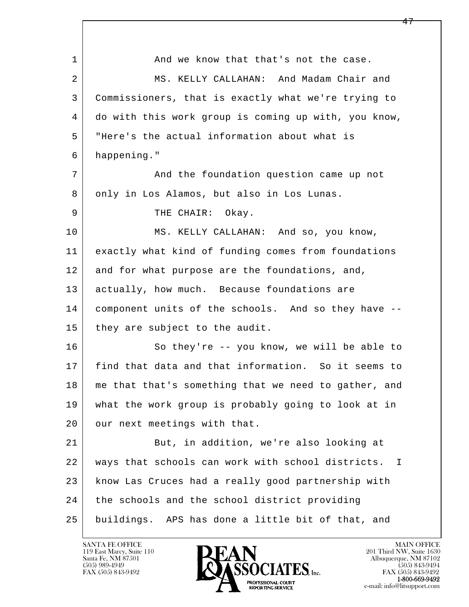| $\mathbf 1$ | And we know that that's not the case.                             |
|-------------|-------------------------------------------------------------------|
| 2           | MS. KELLY CALLAHAN: And Madam Chair and                           |
| 3           | Commissioners, that is exactly what we're trying to               |
| 4           | do with this work group is coming up with, you know,              |
| 5           | "Here's the actual information about what is                      |
| 6           | happening."                                                       |
| 7           | And the foundation question came up not                           |
| 8           | only in Los Alamos, but also in Los Lunas.                        |
| 9           | THE CHAIR:<br>Okay.                                               |
| 10          | MS. KELLY CALLAHAN: And so, you know,                             |
| 11          | exactly what kind of funding comes from foundations               |
| 12          | and for what purpose are the foundations, and,                    |
| 13          | actually, how much. Because foundations are                       |
| 14          | component units of the schools. And so they have --               |
| 15          | they are subject to the audit.                                    |
| 16          | So they're -- you know, we will be able to                        |
| 17          | find that data and that information. So it seems to               |
| 18          | me that that's something that we need to gather, and              |
| 19          | what the work group is probably going to look at in               |
| 20          | our next meetings with that.                                      |
| 21          | But, in addition, we're also looking at                           |
| 22          | ways that schools can work with school districts.<br>$\mathbf{I}$ |
| 23          | know Las Cruces had a really good partnership with                |
| 24          | the schools and the school district providing                     |
| 25          | buildings. APS has done a little bit of that, and                 |

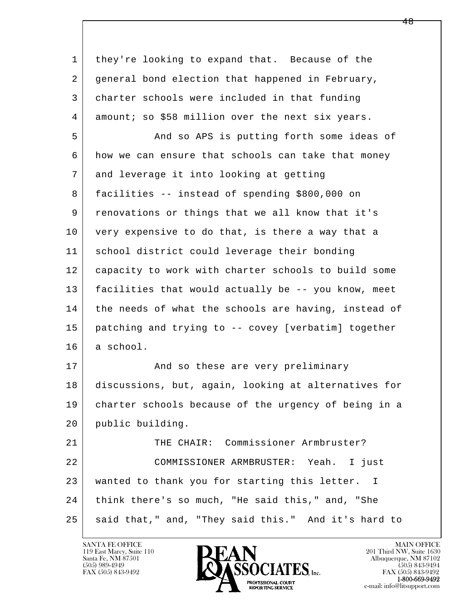| 1  | they're looking to expand that. Because of the       |
|----|------------------------------------------------------|
| 2  | general bond election that happened in February,     |
| 3  | charter schools were included in that funding        |
| 4  | amount; so \$58 million over the next six years.     |
| 5  | And so APS is putting forth some ideas of            |
| 6  | how we can ensure that schools can take that money   |
| 7  | and leverage it into looking at getting              |
| 8  | facilities -- instead of spending \$800,000 on       |
| 9  | renovations or things that we all know that it's     |
| 10 | very expensive to do that, is there a way that a     |
| 11 | school district could leverage their bonding         |
| 12 | capacity to work with charter schools to build some  |
| 13 | facilities that would actually be -- you know, meet  |
| 14 | the needs of what the schools are having, instead of |
| 15 | patching and trying to -- covey [verbatim] together  |
| 16 | a school.                                            |
| 17 | And so these are very preliminary                    |
| 18 | discussions, but, again, looking at alternatives for |
| 19 | charter schools because of the urgency of being in a |
| 20 | public building.                                     |
| 21 | THE CHAIR: Commissioner Armbruster?                  |
| 22 | COMMISSIONER ARMBRUSTER: Yeah. I just                |
| 23 | wanted to thank you for starting this letter. I      |
| 24 | think there's so much, "He said this," and, "She     |
| 25 | said that," and, "They said this." And it's hard to  |

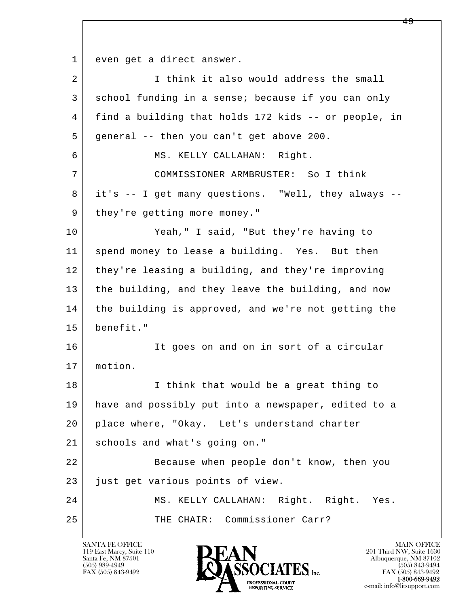l  $\overline{\phantom{a}}$ 1 even get a direct answer. 2 I think it also would address the small 3 school funding in a sense; because if you can only 4 find a building that holds 172 kids -- or people, in 5 general -- then you can't get above 200. 6 MS. KELLY CALLAHAN: Right. 7 COMMISSIONER ARMBRUSTER: So I think 8 it's -- I get many questions. "Well, they always -- 9 | they're getting more money." 10 Yeah," I said, "But they're having to 11 spend money to lease a building. Yes. But then 12 they're leasing a building, and they're improving 13 the building, and they leave the building, and now 14 the building is approved, and we're not getting the 15 benefit." 16 It goes on and on in sort of a circular 17 motion. 18 | Think that would be a great thing to 19 have and possibly put into a newspaper, edited to a 20 place where, "Okay. Let's understand charter 21 schools and what's going on." 22 Because when people don't know, then you 23 just get various points of view. 24 MS. KELLY CALLAHAN: Right. Right. Yes. 25 THE CHAIR: Commissioner Carr?

119 East Marcy, Suite 110<br>Santa Fe, NM 87501

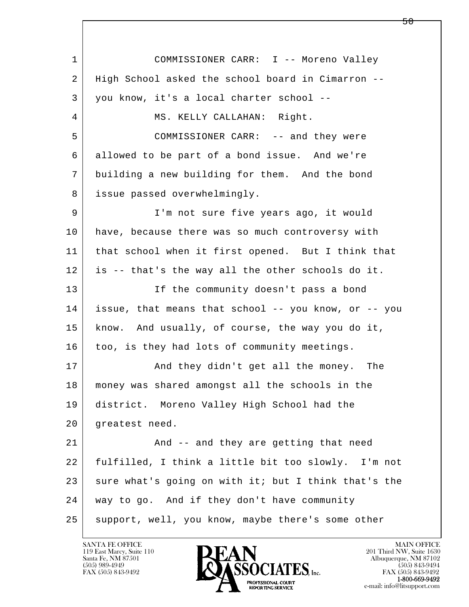l  $\overline{\phantom{a}}$  1 COMMISSIONER CARR: I -- Moreno Valley 2 High School asked the school board in Cimarron -- 3 you know, it's a local charter school -- 4 | MS. KELLY CALLAHAN: Right. 5 COMMISSIONER CARR: -- and they were 6 allowed to be part of a bond issue. And we're 7 building a new building for them. And the bond 8 issue passed overwhelmingly. 9 | I'm not sure five years ago, it would 10 have, because there was so much controversy with 11 that school when it first opened. But I think that 12 is -- that's the way all the other schools do it. 13 If the community doesn't pass a bond 14 issue, that means that school -- you know, or -- you 15 know. And usually, of course, the way you do it, 16 too, is they had lots of community meetings. 17 | And they didn't get all the money. The 18 money was shared amongst all the schools in the 19 district. Moreno Valley High School had the 20 greatest need. 21 | And -- and they are getting that need 22 fulfilled, I think a little bit too slowly. I'm not 23 sure what's going on with it; but I think that's the 24 way to go. And if they don't have community 25 support, well, you know, maybe there's some other

119 East Marcy, Suite 110<br>Santa Fe, NM 87501



FAX (505) 843-9492<br>**1-800-669-9492**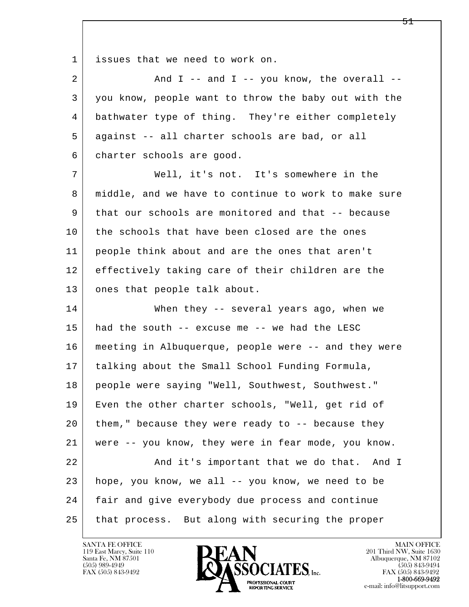1 issues that we need to work on.

| $\overline{2}$ | And $I$ -- and $I$ -- you know, the overall --       |
|----------------|------------------------------------------------------|
| 3              | you know, people want to throw the baby out with the |
| 4              | bathwater type of thing. They're either completely   |
| 5              | against -- all charter schools are bad, or all       |
| 6              | charter schools are good.                            |
| 7              | Well, it's not. It's somewhere in the                |
| 8              | middle, and we have to continue to work to make sure |
| 9              | that our schools are monitored and that -- because   |
| 10             | the schools that have been closed are the ones       |
| 11             | people think about and are the ones that aren't      |
| 12             | effectively taking care of their children are the    |
| 13             | ones that people talk about.                         |
| 14             | When they -- several years ago, when we              |
| 15             | had the south -- excuse me -- we had the LESC        |
| 16             | meeting in Albuquerque, people were -- and they were |
| 17             | talking about the Small School Funding Formula,      |
| 18             | people were saying "Well, Southwest, Southwest."     |
| 19             | Even the other charter schools, "Well, get rid of    |
| 20             | them," because they were ready to $-$ - because they |
| 21             | were -- you know, they were in fear mode, you know.  |
| 22             | And it's important that we do that.<br>And I         |
| 23             | hope, you know, we all -- you know, we need to be    |
| 24             | fair and give everybody due process and continue     |
| 25             | that process. But along with securing the proper     |

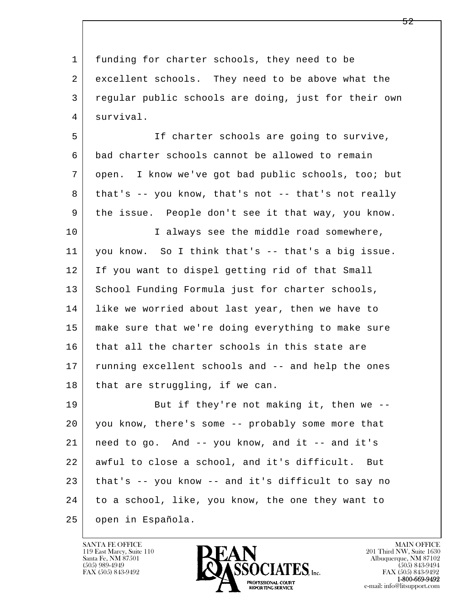1 funding for charter schools, they need to be 2 excellent schools. They need to be above what the 3 regular public schools are doing, just for their own 4 survival. 5 If charter schools are going to survive,

 6 bad charter schools cannot be allowed to remain 7 open. I know we've got bad public schools, too; but 8 that's -- you know, that's not -- that's not really 9 the issue. People don't see it that way, you know. 10 | T always see the middle road somewhere, 11 you know. So I think that's -- that's a big issue. 12 If you want to dispel getting rid of that Small 13 School Funding Formula just for charter schools, 14 like we worried about last year, then we have to 15 make sure that we're doing everything to make sure 16 that all the charter schools in this state are 17 | running excellent schools and -- and help the ones  $18$  that are struggling, if we can.

l  $\overline{\phantom{a}}$ 19 But if they're not making it, then we -- 20 you know, there's some -- probably some more that  $21$  need to go. And  $-$  you know, and it  $-$  and it's 22 awful to close a school, and it's difficult. But 23 that's -- you know -- and it's difficult to say no 24 to a school, like, you know, the one they want to 25 open in Española.

119 East Marcy, Suite 110<br>Santa Fe, NM 87501

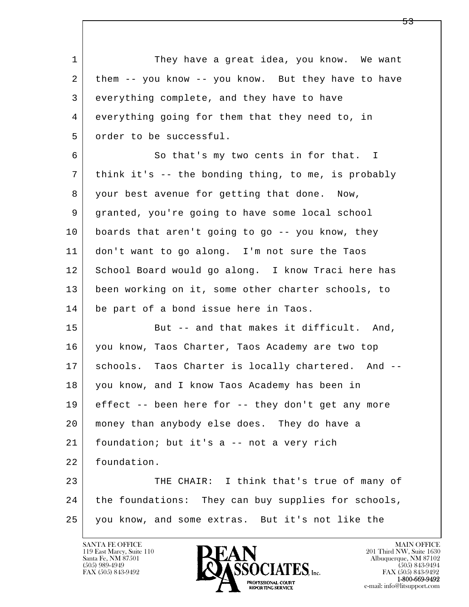l  $\overline{\phantom{a}}$ 1 They have a great idea, you know. We want 2 them -- you know -- you know. But they have to have 3 everything complete, and they have to have 4 everything going for them that they need to, in 5 order to be successful. 6 So that's my two cents in for that. I 7 think it's -- the bonding thing, to me, is probably 8 your best avenue for getting that done. Now, 9 granted, you're going to have some local school 10 boards that aren't going to go -- you know, they 11 don't want to go along. I'm not sure the Taos 12 School Board would go along. I know Traci here has 13 been working on it, some other charter schools, to 14 be part of a bond issue here in Taos. 15 But -- and that makes it difficult. And, 16 you know, Taos Charter, Taos Academy are two top 17 | schools. Taos Charter is locally chartered. And -- 18 you know, and I know Taos Academy has been in 19 effect -- been here for -- they don't get any more 20 money than anybody else does. They do have a 21 | foundation; but it's a -- not a very rich 22 foundation. 23 THE CHAIR: I think that's true of many of 24 the foundations: They can buy supplies for schools, 25 you know, and some extras. But it's not like the



FAX (505) 843-9492<br>**1-800-669-9492**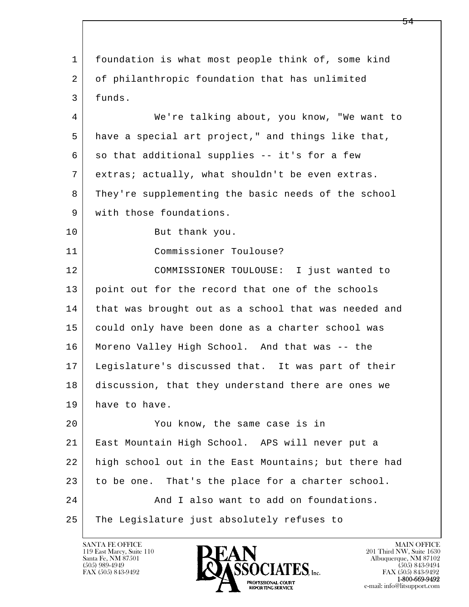l  $\overline{\phantom{a}}$  1 foundation is what most people think of, some kind 2 of philanthropic foundation that has unlimited 3 funds. 4 We're talking about, you know, "We want to 5 have a special art project," and things like that,  $6$  so that additional supplies -- it's for a few 7 extras; actually, what shouldn't be even extras. 8 They're supplementing the basic needs of the school 9 with those foundations. 10 But thank you. 11 Commissioner Toulouse? 12 COMMISSIONER TOULOUSE: I just wanted to 13 point out for the record that one of the schools 14 that was brought out as a school that was needed and 15 could only have been done as a charter school was 16 Moreno Valley High School. And that was -- the 17 Legislature's discussed that. It was part of their 18 discussion, that they understand there are ones we 19 have to have. 20 You know, the same case is in 21 East Mountain High School. APS will never put a 22 high school out in the East Mountains; but there had 23 to be one. That's the place for a charter school. 24 And I also want to add on foundations. 25 The Legislature just absolutely refuses to



FAX (505) 843-9492<br>**1-800-669-9492**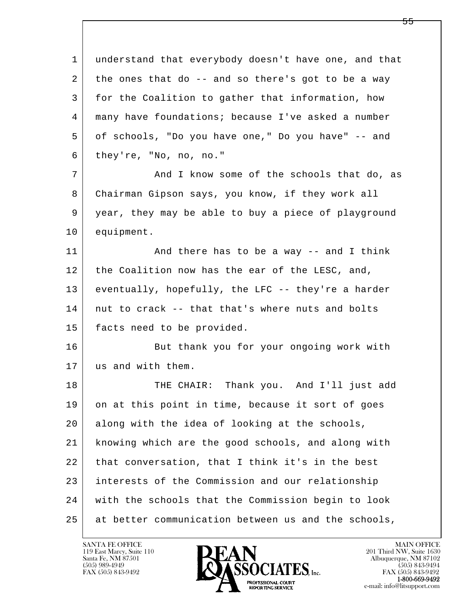l  $\overline{\phantom{a}}$  1 understand that everybody doesn't have one, and that  $2$  the ones that do  $-$  and so there's got to be a way 3 for the Coalition to gather that information, how 4 many have foundations; because I've asked a number 5 of schools, "Do you have one," Do you have" -- and 6 they're, "No, no, no." 7 and I know some of the schools that do, as 8 Chairman Gipson says, you know, if they work all 9 year, they may be able to buy a piece of playground 10 equipment. 11 | And there has to be a way -- and I think 12 the Coalition now has the ear of the LESC, and, 13 eventually, hopefully, the LFC -- they're a harder 14 nut to crack -- that that's where nuts and bolts 15 facts need to be provided. 16 But thank you for your ongoing work with 17 us and with them. 18 THE CHAIR: Thank you. And I'll just add 19 on at this point in time, because it sort of goes 20 along with the idea of looking at the schools, 21 knowing which are the good schools, and along with 22 that conversation, that I think it's in the best 23 interests of the Commission and our relationship 24 with the schools that the Commission begin to look 25 at better communication between us and the schools,

119 East Marcy, Suite 110<br>Santa Fe, NM 87501

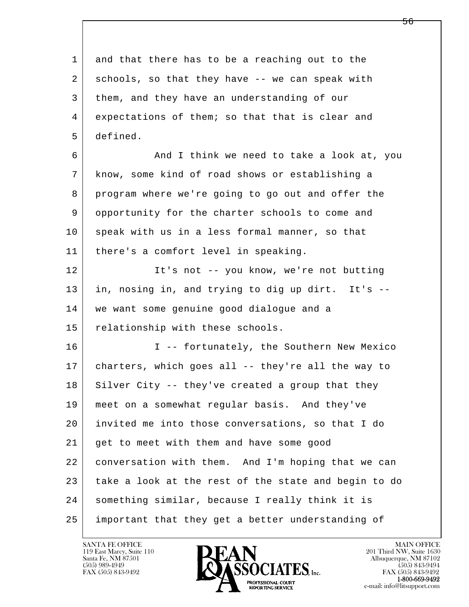l  $\overline{\phantom{a}}$  1 and that there has to be a reaching out to the 2 schools, so that they have -- we can speak with 3 them, and they have an understanding of our 4 expectations of them; so that that is clear and 5 defined. 6 And I think we need to take a look at, you 7 know, some kind of road shows or establishing a 8 program where we're going to go out and offer the 9 opportunity for the charter schools to come and 10 speak with us in a less formal manner, so that 11 there's a comfort level in speaking. 12 It's not -- you know, we're not butting 13 in, nosing in, and trying to dig up dirt. It's -- 14 we want some genuine good dialogue and a 15 relationship with these schools. 16 I -- fortunately, the Southern New Mexico 17 charters, which goes all -- they're all the way to  $18$  Silver City -- they've created a group that they 19 meet on a somewhat regular basis. And they've 20 invited me into those conversations, so that I do 21 get to meet with them and have some good 22 conversation with them. And I'm hoping that we can 23 take a look at the rest of the state and begin to do 24 something similar, because I really think it is 25 important that they get a better understanding of

119 East Marcy, Suite 110<br>Santa Fe, NM 87501



FAX (505) 843-9492<br>1-800-669-9492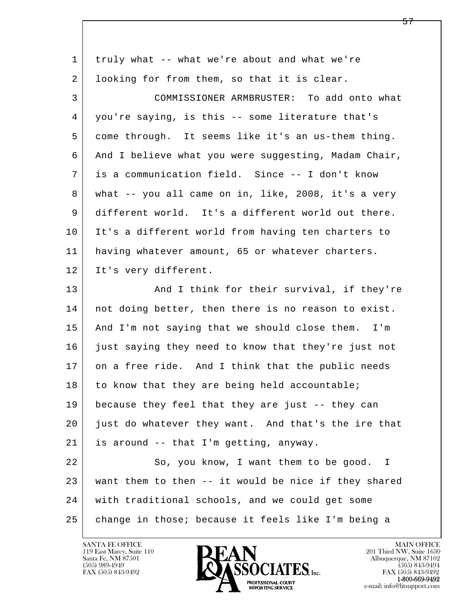| $\mathbf{1}$ | truly what -- what we're about and what we're        |
|--------------|------------------------------------------------------|
| 2            | looking for from them, so that it is clear.          |
| 3            | COMMISSIONER ARMBRUSTER: To add onto what            |
| 4            | you're saying, is this -- some literature that's     |
| 5            | come through. It seems like it's an us-them thing.   |
| 6            | And I believe what you were suggesting, Madam Chair, |
| 7            | is a communication field. Since -- I don't know      |
| 8            | what -- you all came on in, like, 2008, it's a very  |
| 9            | different world. It's a different world out there.   |
| 10           | It's a different world from having ten charters to   |
| 11           | having whatever amount, 65 or whatever charters.     |
| 12           | It's very different.                                 |
| 13           | And I think for their survival, if they're           |
| 14           | not doing better, then there is no reason to exist.  |
| 15           | And I'm not saying that we should close them. I'm    |
| 16           | just saying they need to know that they're just not  |
| 17           | on a free ride. And I think that the public needs    |
| 18           | to know that they are being held accountable;        |
| 19           | because they feel that they are just -- they can     |
| 20           | just do whatever they want. And that's the ire that  |
| 21           | is around -- that I'm getting, anyway.               |
| 22           | So, you know, I want them to be good. I              |
| 23           | want them to then -- it would be nice if they shared |
| 24           | with traditional schools, and we could get some      |
| 25           | change in those; because it feels like I'm being a   |

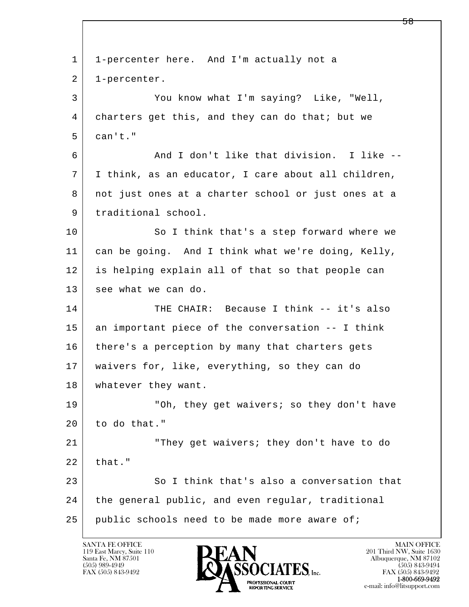l  $\overline{\phantom{a}}$  1 1-percenter here. And I'm actually not a 2 1-percenter. 3 You know what I'm saying? Like, "Well, 4 charters get this, and they can do that; but we  $5$  can't." 6 And I don't like that division. I like -- 7 I think, as an educator, I care about all children, 8 not just ones at a charter school or just ones at a 9 | traditional school. 10 So I think that's a step forward where we 11 can be going. And I think what we're doing, Kelly, 12 is helping explain all of that so that people can 13 see what we can do. 14 THE CHAIR: Because I think -- it's also 15 an important piece of the conversation -- I think 16 there's a perception by many that charters gets 17 waivers for, like, everything, so they can do 18 | whatever they want. 19 | They get waivers; so they don't have 20 to do that." 21 "They get waivers; they don't have to do  $22$  that." 23 So I think that's also a conversation that 24 the general public, and even regular, traditional 25 public schools need to be made more aware of;

119 East Marcy, Suite 110<br>Santa Fe, NM 87501

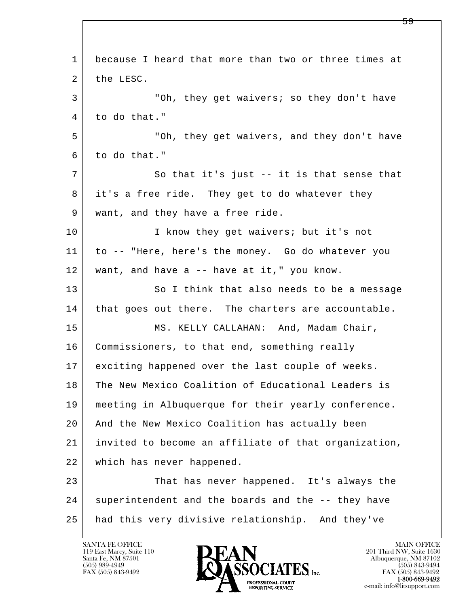| $\mathbf{1}$ | because I heard that more than two or three times at |
|--------------|------------------------------------------------------|
| 2            | the LESC.                                            |
| 3            | "Oh, they get waivers; so they don't have            |
| 4            | to do that."                                         |
| 5            | "Oh, they get waivers, and they don't have           |
| 6            | to do that."                                         |
| 7            | So that it's just -- it is that sense that           |
| 8            | it's a free ride. They get to do whatever they       |
| 9            | want, and they have a free ride.                     |
| 10           | I know they get waivers; but it's not                |
| 11           | to -- "Here, here's the money. Go do whatever you    |
| 12           | want, and have $a$ -- have at it," you know.         |
| 13           | So I think that also needs to be a message           |
| 14           | that goes out there. The charters are accountable.   |
| 15           | MS. KELLY CALLAHAN: And, Madam Chair,                |
| 16           | Commissioners, to that end, something really         |
| 17           | exciting happened over the last couple of weeks.     |
| 18           | The New Mexico Coalition of Educational Leaders is   |
| 19           | meeting in Albuquerque for their yearly conference.  |
| 20           | And the New Mexico Coalition has actually been       |
| 21           | invited to become an affiliate of that organization, |
| 22           | which has never happened.                            |
| 23           | That has never happened. It's always the             |
| 24           | superintendent and the boards and the -- they have   |
| 25           | had this very divisive relationship. And they've     |

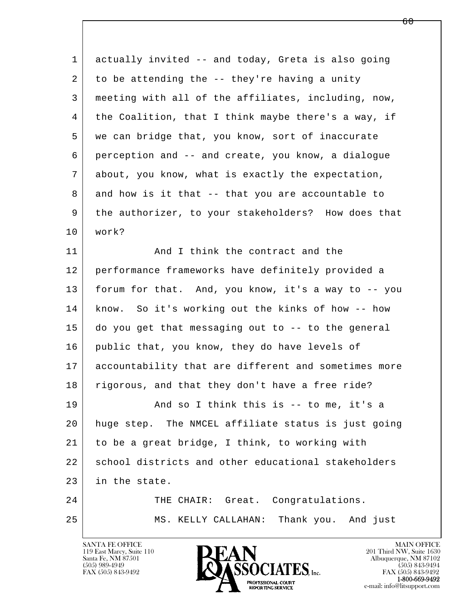| $\mathbf 1$ | actually invited -- and today, Greta is also going   |
|-------------|------------------------------------------------------|
| 2           | to be attending the -- they're having a unity        |
| 3           | meeting with all of the affiliates, including, now,  |
| 4           | the Coalition, that I think maybe there's a way, if  |
| 5           | we can bridge that, you know, sort of inaccurate     |
| 6           | perception and -- and create, you know, a dialogue   |
| 7           | about, you know, what is exactly the expectation,    |
| 8           | and how is it that -- that you are accountable to    |
| 9           | the authorizer, to your stakeholders? How does that  |
| 10          | work?                                                |
| 11          | And I think the contract and the                     |
| 12          | performance frameworks have definitely provided a    |
| 13          | forum for that. And, you know, it's a way to -- you  |
| 14          | know. So it's working out the kinks of how -- how    |
| 15          | do you get that messaging out to -- to the general   |
| 16          | public that, you know, they do have levels of        |
| 17          | accountability that are different and sometimes more |
| 18          | rigorous, and that they don't have a free ride?      |
| 19          | And so I think this is -- to me, it's a              |
| 20          | huge step. The NMCEL affiliate status is just going  |
| 21          | to be a great bridge, I think, to working with       |
| 22          | school districts and other educational stakeholders  |
| 23          | in the state.                                        |
| 24          | THE CHAIR: Great. Congratulations.                   |
| 25          | MS. KELLY CALLAHAN: Thank you. And just              |
|             |                                                      |

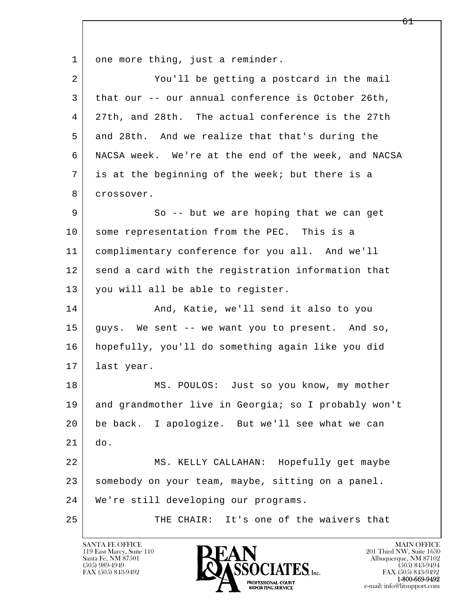1 one more thing, just a reminder.

| 2  | You'll be getting a postcard in the mail             |
|----|------------------------------------------------------|
| 3  | that our -- our annual conference is October 26th,   |
| 4  | 27th, and 28th. The actual conference is the 27th    |
| 5  | and 28th. And we realize that that's during the      |
| 6  | NACSA week. We're at the end of the week, and NACSA  |
| 7  | is at the beginning of the week; but there is a      |
| 8  | crossover.                                           |
| 9  | So -- but we are hoping that we can get              |
| 10 | some representation from the PEC. This is a          |
| 11 | complimentary conference for you all. And we'll      |
| 12 | send a card with the registration information that   |
| 13 | you will all be able to register.                    |
| 14 | And, Katie, we'll send it also to you                |
| 15 | guys. We sent -- we want you to present. And so,     |
| 16 | hopefully, you'll do something again like you did    |
| 17 | last year.                                           |
| 18 | MS. POULOS: Just so you know, my mother              |
| 19 | and grandmother live in Georgia; so I probably won't |
| 20 | be back. I apologize. But we'll see what we can      |
| 21 | do.                                                  |
| 22 | MS. KELLY CALLAHAN: Hopefully get maybe              |
| 23 | somebody on your team, maybe, sitting on a panel.    |
| 24 | We're still developing our programs.                 |
| 25 | THE CHAIR:<br>It's one of the waivers that           |

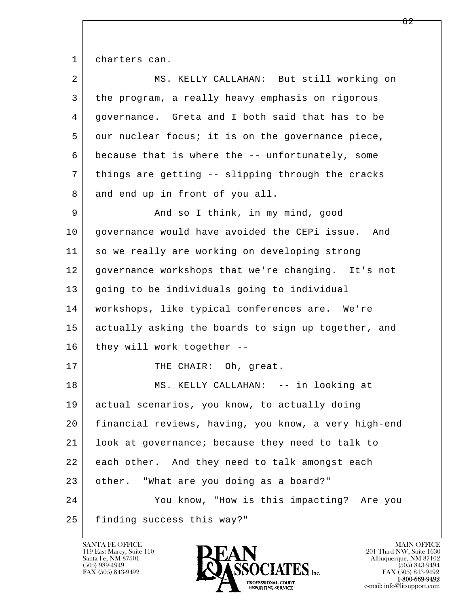1 charters can.

| $\overline{2}$ | MS. KELLY CALLAHAN: But still working on             |
|----------------|------------------------------------------------------|
| 3              | the program, a really heavy emphasis on rigorous     |
| 4              | governance. Greta and I both said that has to be     |
| 5              | our nuclear focus; it is on the governance piece,    |
| 6              | because that is where the -- unfortunately, some     |
| 7              | things are getting -- slipping through the cracks    |
| 8              | and end up in front of you all.                      |
| 9              | And so I think, in my mind, good                     |
| 10             | governance would have avoided the CEPi issue. And    |
| 11             | so we really are working on developing strong        |
| 12             | governance workshops that we're changing. It's not   |
| 13             | going to be individuals going to individual          |
| 14             | workshops, like typical conferences are. We're       |
| 15             | actually asking the boards to sign up together, and  |
| 16             | they will work together --                           |
| 17             | THE CHAIR: Oh, great.                                |
| 18             | MS. KELLY CALLAHAN: -- in looking at                 |
| 19             | actual scenarios, you know, to actually doing        |
| 20             | financial reviews, having, you know, a very high-end |
| 21             | look at governance; because they need to talk to     |
| 22             | each other. And they need to talk amongst each       |
| 23             | other. "What are you doing as a board?"              |
| 24             | You know, "How is this impacting? Are you            |
| 25             | finding success this way?"                           |

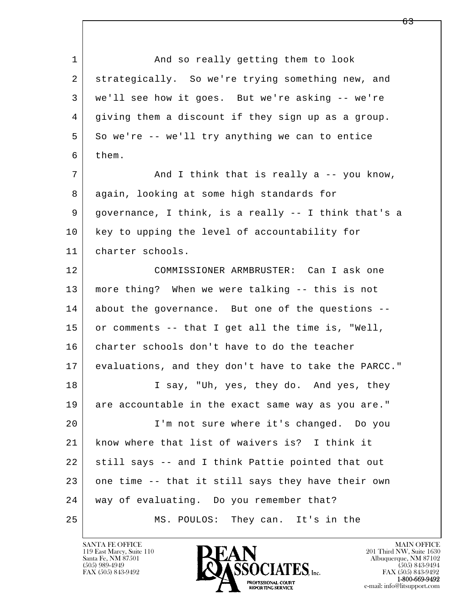l  $\overline{\phantom{a}}$ 1 and so really getting them to look 2 strategically. So we're trying something new, and 3 we'll see how it goes. But we're asking -- we're 4 giving them a discount if they sign up as a group.  $5$  So we're  $-$ - we'll try anything we can to entice 6 them. 7 and I think that is really a -- you know, 8 again, looking at some high standards for 9 governance, I think, is a really -- I think that's a 10 key to upping the level of accountability for 11 charter schools. 12 COMMISSIONER ARMBRUSTER: Can I ask one 13 more thing? When we were talking -- this is not 14 about the governance. But one of the questions -- 15 or comments -- that I get all the time is, "Well, 16 charter schools don't have to do the teacher 17 evaluations, and they don't have to take the PARCC." 18 I say, "Uh, yes, they do. And yes, they 19 are accountable in the exact same way as you are." 20 I'm not sure where it's changed. Do you 21 know where that list of waivers is? I think it 22 still says -- and I think Pattie pointed that out 23 one time -- that it still says they have their own 24 way of evaluating. Do you remember that? 25 MS. POULOS: They can. It's in the

119 East Marcy, Suite 110<br>Santa Fe, NM 87501



<u>63</u>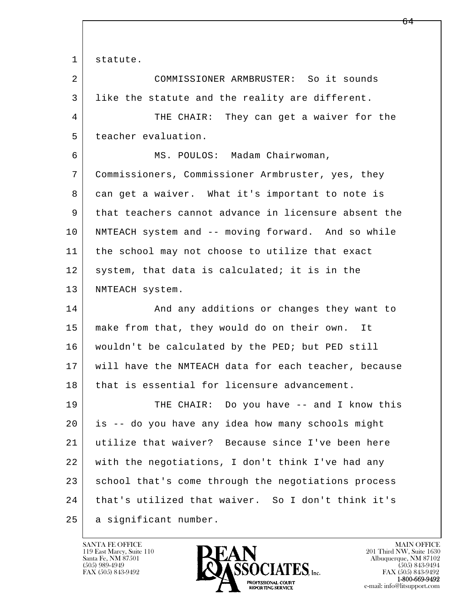1 statute.

l  $\overline{\phantom{a}}$  2 COMMISSIONER ARMBRUSTER: So it sounds 3 like the statute and the reality are different. 4 THE CHAIR: They can get a waiver for the 5 teacher evaluation. 6 MS. POULOS: Madam Chairwoman, 7 Commissioners, Commissioner Armbruster, yes, they 8 can get a waiver. What it's important to note is 9 that teachers cannot advance in licensure absent the 10 NMTEACH system and -- moving forward. And so while 11 | the school may not choose to utilize that exact 12 system, that data is calculated; it is in the 13 | NMTEACH system. 14 And any additions or changes they want to 15 make from that, they would do on their own. It 16 wouldn't be calculated by the PED; but PED still 17 will have the NMTEACH data for each teacher, because 18 that is essential for licensure advancement. 19 THE CHAIR: Do you have -- and I know this 20 is -- do you have any idea how many schools might 21 utilize that waiver? Because since I've been here 22 with the negotiations, I don't think I've had any 23 school that's come through the negotiations process 24 that's utilized that waiver. So I don't think it's 25 | a significant number.

119 East Marcy, Suite 110<br>Santa Fe, NM 87501

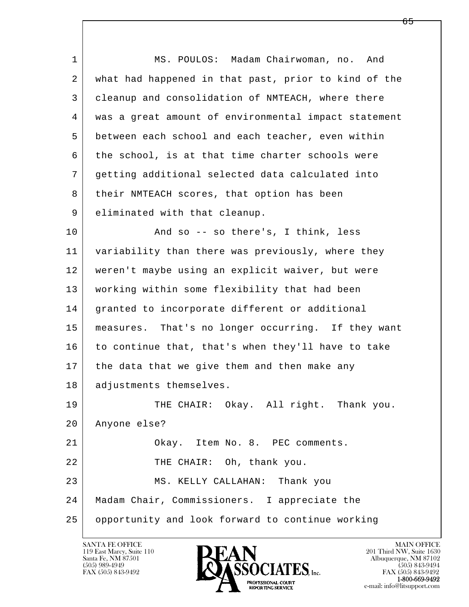l  $\overline{\phantom{a}}$ 1 | MS. POULOS: Madam Chairwoman, no. And 2 what had happened in that past, prior to kind of the 3 cleanup and consolidation of NMTEACH, where there 4 was a great amount of environmental impact statement 5 between each school and each teacher, even within 6 the school, is at that time charter schools were 7 getting additional selected data calculated into 8 | their NMTEACH scores, that option has been 9 eliminated with that cleanup. 10 And so -- so there's, I think, less 11 variability than there was previously, where they 12 weren't maybe using an explicit waiver, but were 13 working within some flexibility that had been 14 granted to incorporate different or additional 15 measures. That's no longer occurring. If they want 16 to continue that, that's when they'll have to take 17 | the data that we give them and then make any 18 | adjustments themselves. 19 THE CHAIR: Okay. All right. Thank you. 20 Anyone else? 21 Okay. Item No. 8. PEC comments. 22 THE CHAIR: Oh, thank you. 23 MS. KELLY CALLAHAN: Thank you 24 Madam Chair, Commissioners. I appreciate the 25 opportunity and look forward to continue working

119 East Marcy, Suite 110<br>Santa Fe, NM 87501



FAX (505) 843-9492<br>1-800-669-9492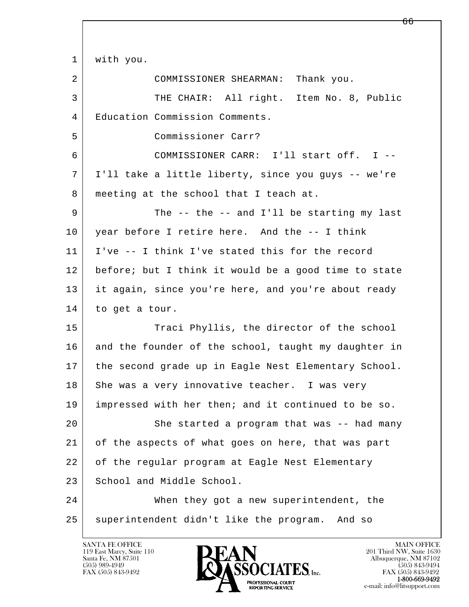l  $\overline{\phantom{a}}$  1 with you. 2 COMMISSIONER SHEARMAN: Thank you. 3 THE CHAIR: All right. Item No. 8, Public 4 Education Commission Comments. 5 Commissioner Carr? 6 COMMISSIONER CARR: I'll start off. I -- 7 I'll take a little liberty, since you guys -- we're 8 | meeting at the school that I teach at. 9 The -- the -- and I'll be starting my last 10 year before I retire here. And the -- I think 11 I've -- I think I've stated this for the record 12 before; but I think it would be a good time to state 13 it again, since you're here, and you're about ready 14 to get a tour. 15 Traci Phyllis, the director of the school 16 and the founder of the school, taught my daughter in 17 | the second grade up in Eagle Nest Elementary School. 18 She was a very innovative teacher. I was very 19 impressed with her then; and it continued to be so. 20 She started a program that was -- had many 21 of the aspects of what goes on here, that was part 22 of the regular program at Eagle Nest Elementary 23 School and Middle School. 24 When they got a new superintendent, the 25 | superintendent didn't like the program. And so

119 East Marcy, Suite 110<br>Santa Fe, NM 87501

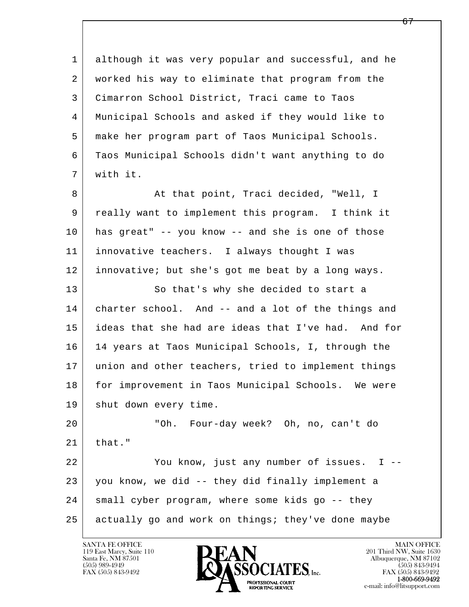l  $\overline{\phantom{a}}$  1 although it was very popular and successful, and he 2 worked his way to eliminate that program from the 3 Cimarron School District, Traci came to Taos 4 Municipal Schools and asked if they would like to 5 make her program part of Taos Municipal Schools. 6 Taos Municipal Schools didn't want anything to do 7 with it. 8 At that point, Traci decided, "Well, I 9 really want to implement this program. I think it 10 has great" -- you know -- and she is one of those 11 innovative teachers. I always thought I was 12 innovative; but she's got me beat by a long ways. 13 So that's why she decided to start a 14 charter school. And -- and a lot of the things and 15 ideas that she had are ideas that I've had. And for 16 14 years at Taos Municipal Schools, I, through the 17 union and other teachers, tried to implement things 18 for improvement in Taos Municipal Schools. We were 19 | shut down every time. 20 "Oh. Four-day week? Oh, no, can't do  $21$  that." 22 You know, just any number of issues. I -- 23 you know, we did -- they did finally implement a 24 small cyber program, where some kids go -- they 25 actually go and work on things; they've done maybe

119 East Marcy, Suite 110<br>Santa Fe, NM 87501



FAX (505) 843-9492<br>**1-800-669-9492**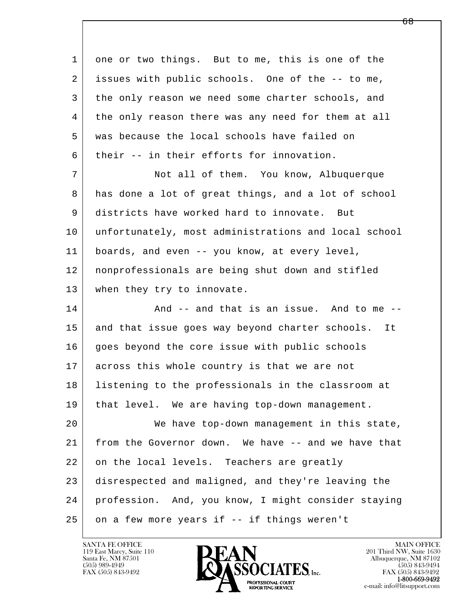l  $\overline{\phantom{a}}$ 1 one or two things. But to me, this is one of the 2 issues with public schools. One of the -- to me, 3 the only reason we need some charter schools, and 4 the only reason there was any need for them at all 5 was because the local schools have failed on 6 their -- in their efforts for innovation. 7 Not all of them. You know, Albuquerque 8 has done a lot of great things, and a lot of school 9 districts have worked hard to innovate. But 10 unfortunately, most administrations and local school 11 boards, and even -- you know, at every level, 12 nonprofessionals are being shut down and stifled 13 when they try to innovate. 14 And -- and that is an issue. And to me --15 and that issue goes way beyond charter schools. It 16 goes beyond the core issue with public schools 17 across this whole country is that we are not 18 listening to the professionals in the classroom at 19 that level. We are having top-down management. 20 We have top-down management in this state, 21 from the Governor down. We have -- and we have that 22 on the local levels. Teachers are greatly 23 disrespected and maligned, and they're leaving the 24 profession. And, you know, I might consider staying  $25$  on a few more years if  $-$  if things weren't

119 East Marcy, Suite 110<br>Santa Fe, NM 87501

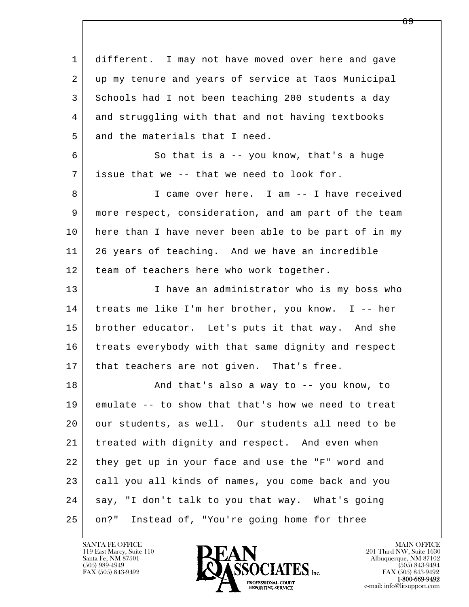| $\mathbf{1}$ | different. I may not have moved over here and gave   |
|--------------|------------------------------------------------------|
| 2            | up my tenure and years of service at Taos Municipal  |
| 3            | Schools had I not been teaching 200 students a day   |
| 4            | and struggling with that and not having textbooks    |
| 5            | and the materials that I need.                       |
| 6            | So that is a $-$ you know, that's a huge             |
| 7            | issue that we -- that we need to look for.           |
| 8            | I came over here. I am -- I have received            |
| 9            | more respect, consideration, and am part of the team |
| 10           | here than I have never been able to be part of in my |
| 11           | 26 years of teaching. And we have an incredible      |
| 12           | team of teachers here who work together.             |
| 13           | I have an administrator who is my boss who           |
| 14           | treats me like I'm her brother, you know. I -- her   |
| 15           | brother educator. Let's puts it that way. And she    |
| 16           | treats everybody with that same dignity and respect  |
| 17           | that teachers are not given. That's free.            |
| 18           | And that's also a way to -- you know, to             |
| 19           | emulate -- to show that that's how we need to treat  |
| 20           | our students, as well. Our students all need to be   |
| 21           | treated with dignity and respect. And even when      |
| 22           | they get up in your face and use the "F" word and    |
| 23           | call you all kinds of names, you come back and you   |
| 24           | say, "I don't talk to you that way. What's going     |
| 25           | Instead of, "You're going home for three<br>on?"     |

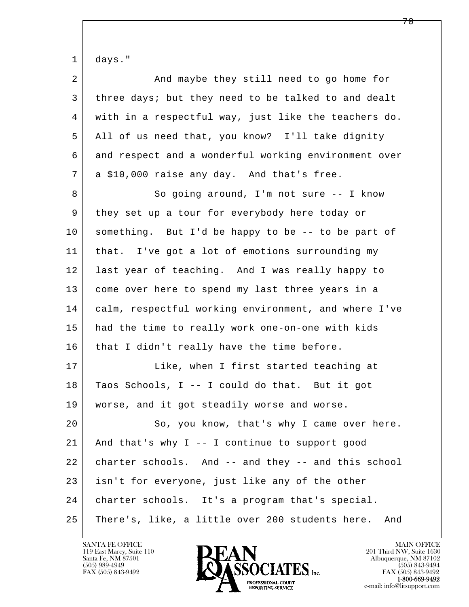| $\mathbf 1$ | days."                                                 |
|-------------|--------------------------------------------------------|
| 2           | And maybe they still need to go home for               |
| 3           | three days; but they need to be talked to and dealt    |
| 4           | with in a respectful way, just like the teachers do.   |
| 5           | All of us need that, you know? I'll take dignity       |
| 6           | and respect and a wonderful working environment over   |
| 7           | a \$10,000 raise any day. And that's free.             |
| 8           | So going around, I'm not sure -- I know                |
| 9           | they set up a tour for everybody here today or         |
| 10          | something. But I'd be happy to be -- to be part of     |
| 11          | that. I've got a lot of emotions surrounding my        |
| 12          | last year of teaching. And I was really happy to       |
| 13          | come over here to spend my last three years in a       |
| 14          | calm, respectful working environment, and where I've   |
| 15          | had the time to really work one-on-one with kids       |
| 16          | that I didn't really have the time before.             |
| 17          | Like, when I first started teaching at                 |
| 18          | Taos Schools, I -- I could do that. But it got         |
| 19          | worse, and it got steadily worse and worse.            |
| 20          | So, you know, that's why I came over here.             |
| 21          | And that's why $I$ -- I continue to support good       |
| 22          | charter schools. And -- and they -- and this school    |
| 23          | isn't for everyone, just like any of the other         |
| 24          | charter schools. It's a program that's special.        |
| 25          | There's, like, a little over 200 students here.<br>And |

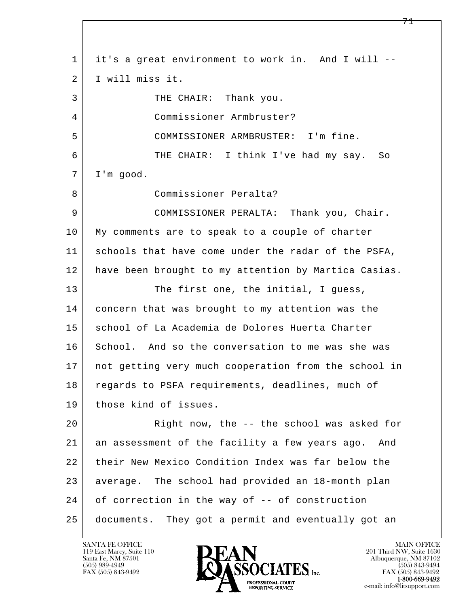l  $\overline{\phantom{a}}$  1 it's a great environment to work in. And I will -- 2 I will miss it. 3 | THE CHAIR: Thank you. 4 Commissioner Armbruster? 5 COMMISSIONER ARMBRUSTER: I'm fine. 6 THE CHAIR: I think I've had my say. So 7 I'm good. 8 Commissioner Peralta? 9 COMMISSIONER PERALTA: Thank you, Chair. 10 My comments are to speak to a couple of charter 11 schools that have come under the radar of the PSFA, 12 have been brought to my attention by Martica Casias. 13 The first one, the initial, I guess, 14 concern that was brought to my attention was the 15 school of La Academia de Dolores Huerta Charter 16 School. And so the conversation to me was she was 17 not getting very much cooperation from the school in 18 regards to PSFA requirements, deadlines, much of 19 those kind of issues. 20 Right now, the -- the school was asked for 21 an assessment of the facility a few years ago. And 22 their New Mexico Condition Index was far below the 23 average. The school had provided an 18-month plan 24 of correction in the way of -- of construction 25 documents. They got a permit and eventually got an

119 East Marcy, Suite 110<br>Santa Fe, NM 87501

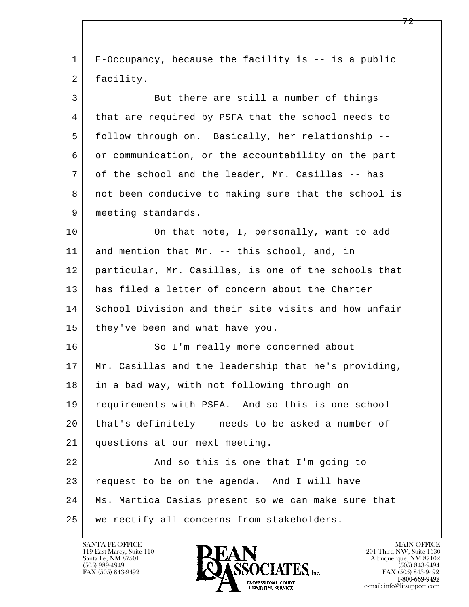| 1  | E-Occupancy, because the facility is -- is a public  |
|----|------------------------------------------------------|
| 2  | facility.                                            |
| 3  | But there are still a number of things               |
| 4  | that are required by PSFA that the school needs to   |
| 5  | follow through on. Basically, her relationship --    |
| 6  | or communication, or the accountability on the part  |
| 7  | of the school and the leader, Mr. Casillas -- has    |
| 8  | not been conducive to making sure that the school is |
| 9  | meeting standards.                                   |
| 10 | On that note, I, personally, want to add             |
| 11 | and mention that Mr. -- this school, and, in         |
| 12 | particular, Mr. Casillas, is one of the schools that |
| 13 | has filed a letter of concern about the Charter      |
| 14 | School Division and their site visits and how unfair |
| 15 | they've been and what have you.                      |
| 16 | So I'm really more concerned about                   |
| 17 | Mr. Casillas and the leadership that he's providing, |
| 18 | in a bad way, with not following through on          |
| 19 | requirements with PSFA. And so this is one school    |
| 20 | that's definitely -- needs to be asked a number of   |
| 21 | questions at our next meeting.                       |
| 22 | And so this is one that I'm going to                 |
| 23 | request to be on the agenda. And I will have         |
| 24 | Ms. Martica Casias present so we can make sure that  |
| 25 | we rectify all concerns from stakeholders.           |

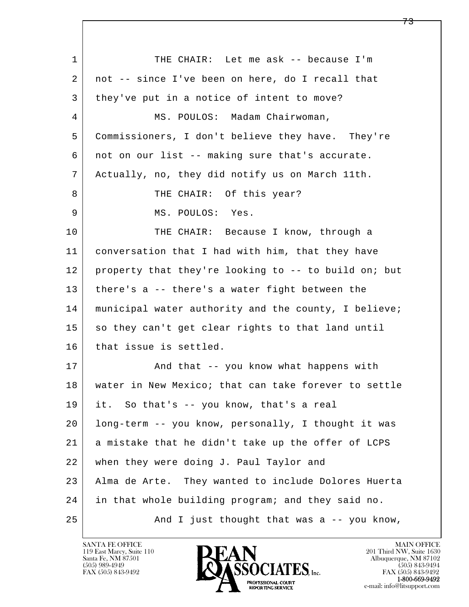l  $\overline{\phantom{a}}$ 1 THE CHAIR: Let me ask -- because I'm 2 not -- since I've been on here, do I recall that 3 they've put in a notice of intent to move? 4 | MS. POULOS: Madam Chairwoman, 5 Commissioners, I don't believe they have. They're 6 not on our list -- making sure that's accurate. 7 Actually, no, they did notify us on March 11th. 8 | THE CHAIR: Of this year? 9 MS. POULOS: Yes. 10 THE CHAIR: Because I know, through a 11 conversation that I had with him, that they have 12 property that they're looking to -- to build on; but 13 there's a -- there's a water fight between the 14 | municipal water authority and the county, I believe; 15 so they can't get clear rights to that land until 16 that issue is settled. 17 | And that -- you know what happens with 18 water in New Mexico; that can take forever to settle 19 it. So that's -- you know, that's a real 20 long-term -- you know, personally, I thought it was 21 a mistake that he didn't take up the offer of LCPS 22 when they were doing J. Paul Taylor and 23 Alma de Arte. They wanted to include Dolores Huerta 24 in that whole building program; and they said no. 25 And I just thought that was a -- you know,

119 East Marcy, Suite 110<br>Santa Fe, NM 87501

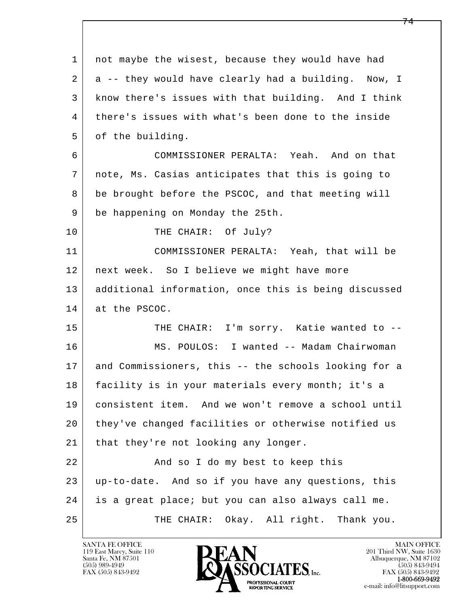l  $\overline{\phantom{a}}$ 1 not maybe the wisest, because they would have had 2 a -- they would have clearly had a building. Now, I 3 know there's issues with that building. And I think 4 there's issues with what's been done to the inside 5 of the building. 6 COMMISSIONER PERALTA: Yeah. And on that 7 note, Ms. Casias anticipates that this is going to 8 be brought before the PSCOC, and that meeting will 9 be happening on Monday the 25th. 10 THE CHAIR: Of July? 11 COMMISSIONER PERALTA: Yeah, that will be 12 next week. So I believe we might have more 13 additional information, once this is being discussed 14 at the PSCOC. 15 | THE CHAIR: I'm sorry. Katie wanted to -- 16 MS. POULOS: I wanted -- Madam Chairwoman 17 and Commissioners, this -- the schools looking for a 18 facility is in your materials every month; it's a 19 consistent item. And we won't remove a school until 20 they've changed facilities or otherwise notified us 21 | that they're not looking any longer. 22 | The Mand so I do my best to keep this 23 up-to-date. And so if you have any questions, this 24 is a great place; but you can also always call me. 25 THE CHAIR: Okay. All right. Thank you.

119 East Marcy, Suite 110<br>Santa Fe, NM 87501

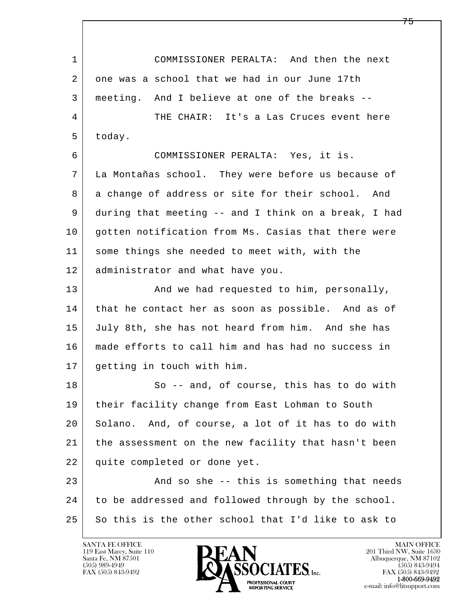l  $\overline{\phantom{a}}$  1 COMMISSIONER PERALTA: And then the next 2 one was a school that we had in our June 17th 3 meeting. And I believe at one of the breaks -- 4 THE CHAIR: It's a Las Cruces event here 5 today. 6 COMMISSIONER PERALTA: Yes, it is. 7 La Montañas school. They were before us because of 8 a change of address or site for their school. And 9 during that meeting -- and I think on a break, I had 10 | gotten notification from Ms. Casias that there were 11 some things she needed to meet with, with the 12 administrator and what have you. 13 | And we had requested to him, personally, 14 that he contact her as soon as possible. And as of 15 July 8th, she has not heard from him. And she has 16 made efforts to call him and has had no success in 17 getting in touch with him. 18 So -- and, of course, this has to do with 19 their facility change from East Lohman to South 20 Solano. And, of course, a lot of it has to do with 21 the assessment on the new facility that hasn't been 22 quite completed or done yet. 23 And so she -- this is something that needs 24 to be addressed and followed through by the school. 25 So this is the other school that I'd like to ask to

119 East Marcy, Suite 110<br>Santa Fe, NM 87501

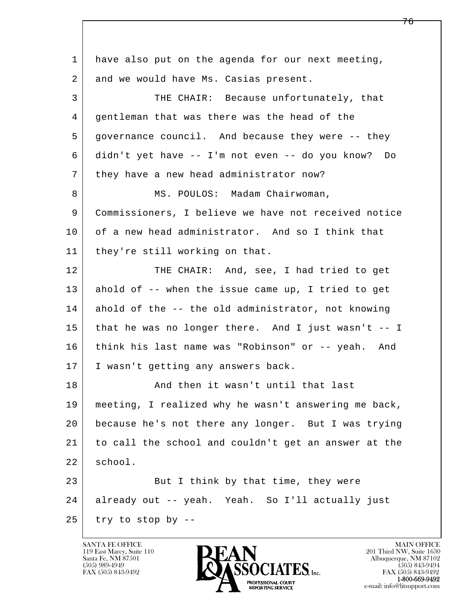| $\mathbf 1$ | have also put on the agenda for our next meeting,    |  |
|-------------|------------------------------------------------------|--|
| 2           | and we would have Ms. Casias present.                |  |
| 3           | THE CHAIR: Because unfortunately, that               |  |
| 4           | gentleman that was there was the head of the         |  |
| 5           | governance council. And because they were -- they    |  |
| 6           | didn't yet have -- I'm not even -- do you know? Do   |  |
| 7           | they have a new head administrator now?              |  |
| 8           | MS. POULOS: Madam Chairwoman,                        |  |
| 9           | Commissioners, I believe we have not received notice |  |
| 10          | of a new head administrator. And so I think that     |  |
| 11          | they're still working on that.                       |  |
| 12          | THE CHAIR: And, see, I had tried to get              |  |
| 13          | ahold of -- when the issue came up, I tried to get   |  |
| 14          | ahold of the -- the old administrator, not knowing   |  |
| 15          | that he was no longer there. And I just wasn't -- I  |  |
| 16          | think his last name was "Robinson" or -- yeah. And   |  |
| 17          | I wasn't getting any answers back.                   |  |
| 18          | And then it wasn't until that last                   |  |
| 19          | meeting, I realized why he wasn't answering me back, |  |
| 20          | because he's not there any longer. But I was trying  |  |
| 21          | to call the school and couldn't get an answer at the |  |
| 22          | school.                                              |  |
| 23          | But I think by that time, they were                  |  |
| 24          | already out -- yeah. Yeah. So I'll actually just     |  |
| 25          | try to stop by --                                    |  |

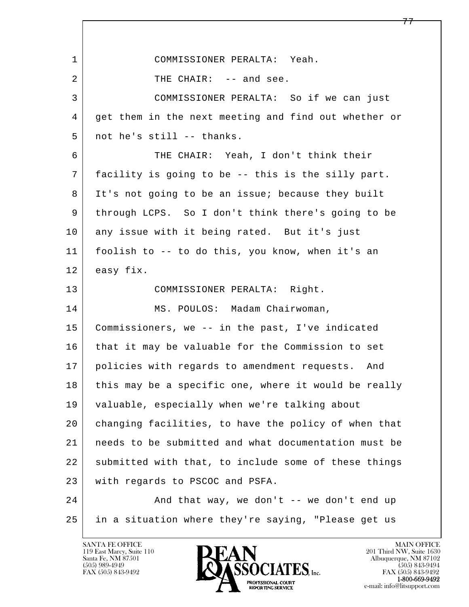| $\mathbf 1$    | COMMISSIONER PERALTA: Yeah.                          |  |
|----------------|------------------------------------------------------|--|
| $\overline{2}$ | THE CHAIR: -- and see.                               |  |
| 3              | COMMISSIONER PERALTA: So if we can just              |  |
| 4              | get them in the next meeting and find out whether or |  |
| 5              | not he's still -- thanks.                            |  |
| 6              | THE CHAIR: Yeah, I don't think their                 |  |
| 7              | facility is going to be -- this is the silly part.   |  |
| 8              | It's not going to be an issue; because they built    |  |
| 9              | through LCPS. So I don't think there's going to be   |  |
| 10             | any issue with it being rated. But it's just         |  |
| 11             | foolish to -- to do this, you know, when it's an     |  |
| 12             | easy fix.                                            |  |
| 13             | COMMISSIONER PERALTA: Right.                         |  |
| 14             | MS. POULOS: Madam Chairwoman,                        |  |
| 15             | Commissioners, we -- in the past, I've indicated     |  |
| 16             | that it may be valuable for the Commission to set    |  |
| 17             | policies with regards to amendment requests.<br>And  |  |
| 18             | this may be a specific one, where it would be really |  |
| 19             | valuable, especially when we're talking about        |  |
| 20             | changing facilities, to have the policy of when that |  |
| 21             | needs to be submitted and what documentation must be |  |
| 22             | submitted with that, to include some of these things |  |
| 23             | with regards to PSCOC and PSFA.                      |  |
| 24             | And that way, we don't -- we don't end up            |  |
| 25             | in a situation where they're saying, "Please get us  |  |

Г

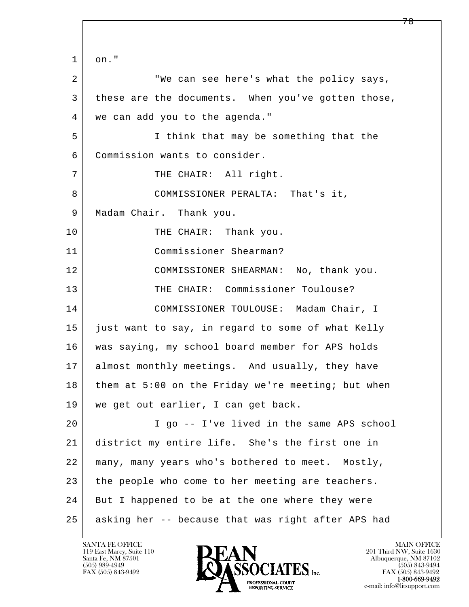l  $\overline{\phantom{a}}$  1 on." 2 | We can see here's what the policy says, 3 these are the documents. When you've gotten those, 4 we can add you to the agenda." 5 I think that may be something that the 6 Commission wants to consider. 7 | THE CHAIR: All right. 8 COMMISSIONER PERALTA: That's it, 9 | Madam Chair. Thank you. 10 THE CHAIR: Thank you. 11 Commissioner Shearman? 12 COMMISSIONER SHEARMAN: No, thank you. 13 THE CHAIR: Commissioner Toulouse? 14 COMMISSIONER TOULOUSE: Madam Chair, I 15 just want to say, in regard to some of what Kelly 16 was saying, my school board member for APS holds 17 | almost monthly meetings. And usually, they have 18 them at 5:00 on the Friday we're meeting; but when 19 we get out earlier, I can get back. 20 I go -- I've lived in the same APS school 21 district my entire life. She's the first one in 22 many, many years who's bothered to meet. Mostly, 23 the people who come to her meeting are teachers. 24 But I happened to be at the one where they were 25 asking her -- because that was right after APS had

119 East Marcy, Suite 110<br>Santa Fe, NM 87501

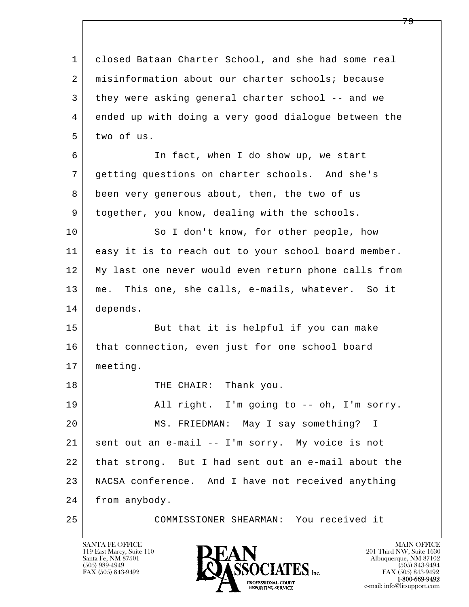l  $\overline{\phantom{a}}$  1 closed Bataan Charter School, and she had some real 2 misinformation about our charter schools; because 3 they were asking general charter school -- and we 4 ended up with doing a very good dialogue between the 5 two of us. 6 In fact, when I do show up, we start 7 getting questions on charter schools. And she's 8 been very generous about, then, the two of us 9 together, you know, dealing with the schools. 10 So I don't know, for other people, how 11 easy it is to reach out to your school board member. 12 My last one never would even return phone calls from 13 me. This one, she calls, e-mails, whatever. So it 14 depends. 15 | But that it is helpful if you can make 16 that connection, even just for one school board 17 meeting. 18 | THE CHAIR: Thank you. 19 | All right. I'm going to -- oh, I'm sorry. 20 MS. FRIEDMAN: May I say something? I 21 sent out an e-mail -- I'm sorry. My voice is not 22 that strong. But I had sent out an e-mail about the 23 NACSA conference. And I have not received anything 24 from anybody. 25 COMMISSIONER SHEARMAN: You received it

119 East Marcy, Suite 110<br>Santa Fe, NM 87501

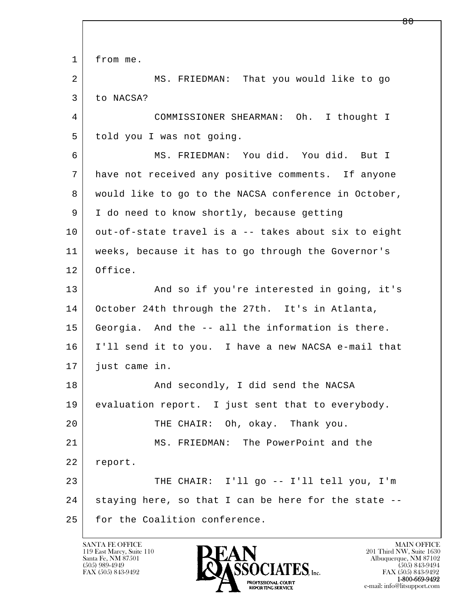l  $\overline{\phantom{a}}$ 1 from me. 2 MS. FRIEDMAN: That you would like to go 3 to NACSA? 4 COMMISSIONER SHEARMAN: Oh. I thought I 5 told you I was not going. 6 MS. FRIEDMAN: You did. You did. But I 7 have not received any positive comments. If anyone 8 would like to go to the NACSA conference in October, 9 I do need to know shortly, because getting 10 | out-of-state travel is a -- takes about six to eight 11 weeks, because it has to go through the Governor's 12 Office. 13 And so if you're interested in going, it's 14 October 24th through the 27th. It's in Atlanta, 15 Georgia. And the -- all the information is there. 16 I'll send it to you. I have a new NACSA e-mail that 17 just came in. 18 And secondly, I did send the NACSA 19 evaluation report. I just sent that to everybody. 20 THE CHAIR: Oh, okay. Thank you. 21 MS. FRIEDMAN: The PowerPoint and the 22 report. 23 | THE CHAIR: I'll go -- I'll tell you, I'm 24 staying here, so that I can be here for the state --25 for the Coalition conference.

119 East Marcy, Suite 110<br>Santa Fe, NM 87501

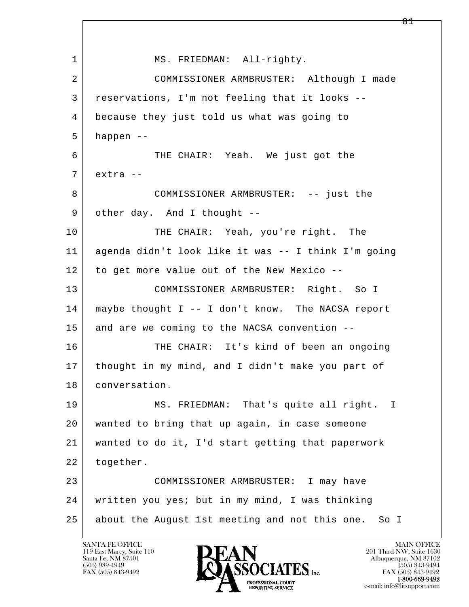l  $\overline{\phantom{a}}$ 1 MS. FRIEDMAN: All-righty. 2 COMMISSIONER ARMBRUSTER: Although I made 3 reservations, I'm not feeling that it looks -- 4 because they just told us what was going to  $5$  happen  $-$  6 THE CHAIR: Yeah. We just got the 7 extra -- 8 COMMISSIONER ARMBRUSTER: -- just the 9 other day. And I thought --10 THE CHAIR: Yeah, you're right. The 11 agenda didn't look like it was -- I think I'm going 12 to get more value out of the New Mexico -- 13 COMMISSIONER ARMBRUSTER: Right. So I 14 maybe thought I -- I don't know. The NACSA report  $15$  and are we coming to the NACSA convention  $-$ 16 THE CHAIR: It's kind of been an ongoing 17 thought in my mind, and I didn't make you part of 18 conversation. 19 MS. FRIEDMAN: That's quite all right. I 20 wanted to bring that up again, in case someone 21 wanted to do it, I'd start getting that paperwork 22 | together. 23 COMMISSIONER ARMBRUSTER: I may have 24 written you yes; but in my mind, I was thinking 25 about the August 1st meeting and not this one. So I

119 East Marcy, Suite 110<br>Santa Fe, NM 87501

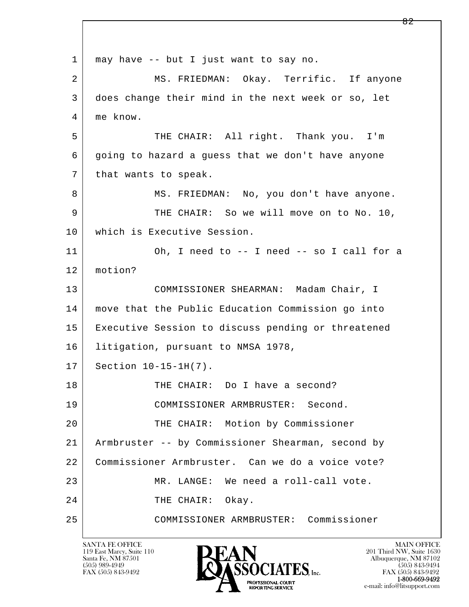l  $\overline{\phantom{a}}$  1 may have -- but I just want to say no. 2 MS. FRIEDMAN: Okay. Terrific. If anyone 3 does change their mind in the next week or so, let 4 me know. 5 THE CHAIR: All right. Thank you. I'm 6 going to hazard a guess that we don't have anyone 7 | that wants to speak. 8 MS. FRIEDMAN: No, you don't have anyone. 9 THE CHAIR: So we will move on to No. 10, 10 which is Executive Session. 11 Oh, I need to -- I need -- so I call for a 12 motion? 13 COMMISSIONER SHEARMAN: Madam Chair, I 14 move that the Public Education Commission go into 15 Executive Session to discuss pending or threatened 16 | litigation, pursuant to NMSA 1978, 17 | Section 10-15-1H(7). 18 THE CHAIR: Do I have a second? 19 COMMISSIONER ARMBRUSTER: Second. 20 THE CHAIR: Motion by Commissioner 21 Armbruster -- by Commissioner Shearman, second by 22 Commissioner Armbruster. Can we do a voice vote? 23 MR. LANGE: We need a roll-call vote. 24 THE CHAIR: Okay. 25 COMMISSIONER ARMBRUSTER: Commissioner

119 East Marcy, Suite 110<br>Santa Fe, NM 87501

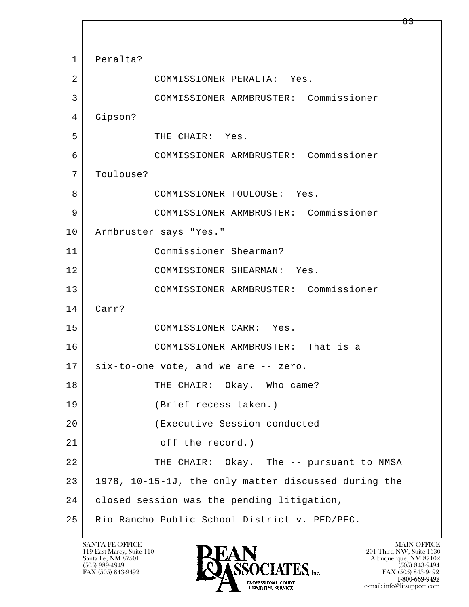l  $\overline{\phantom{a}}$  1 Peralta? 2 COMMISSIONER PERALTA: Yes. 3 COMMISSIONER ARMBRUSTER: Commissioner 4 Gipson? 5 THE CHAIR: Yes. 6 COMMISSIONER ARMBRUSTER: Commissioner 7 Toulouse? 8 | COMMISSIONER TOULOUSE: Yes. 9 COMMISSIONER ARMBRUSTER: Commissioner 10 | Armbruster says "Yes." 11 Commissioner Shearman? 12 COMMISSIONER SHEARMAN: Yes. 13 COMMISSIONER ARMBRUSTER: Commissioner 14 Carr? 15 COMMISSIONER CARR: Yes. 16 COMMISSIONER ARMBRUSTER: That is a 17 six-to-one vote, and we are -- zero. 18 THE CHAIR: Okay. Who came? 19 (Brief recess taken.) 20 (Executive Session conducted 21 off the record.) 22 THE CHAIR: Okay. The -- pursuant to NMSA 23 1978, 10-15-1J, the only matter discussed during the 24 | closed session was the pending litigation, 25 Rio Rancho Public School District v. PED/PEC.

119 East Marcy, Suite 110<br>Santa Fe, NM 87501

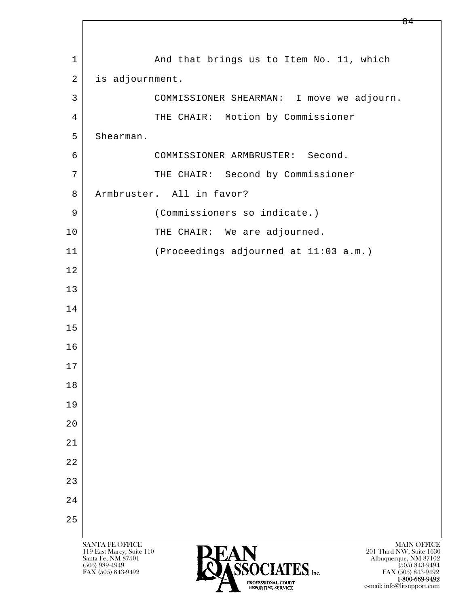l  $\overline{\phantom{a}}$ SANTA FE OFFICE MAIN OFFICE MAIN OFFICE MAIN OFFICE MAIN OFFICE 119 East Marcy, Suite 110 201 Third NW, Suite 1630<br>
Santa Fe, NM 87501 201 Third NW, Suite 1630 Santa Fe, NM 87501 Albuquerque, NM 87102 1 And that brings us to Item No. 11, which 2 is adjournment. 3 COMMISSIONER SHEARMAN: I move we adjourn. 4 THE CHAIR: Motion by Commissioner 5 Shearman. 6 COMMISSIONER ARMBRUSTER: Second. 7 | THE CHAIR: Second by Commissioner 8 Armbruster. All in favor? 9 (Commissioners so indicate.) 10 THE CHAIR: We are adjourned. 11 (Proceedings adjourned at 11:03 a.m.) 12 13 14 15 16 17 18 19 20 21 22 23 24 25

 $\bullet$  (505) 989-4949 (505) 843-9494 FAX (505) 843-9492 **FAX (505) 843-9492** FAX (505) 843-9492

1-800-669-9492

e-mail: info@litsupport.com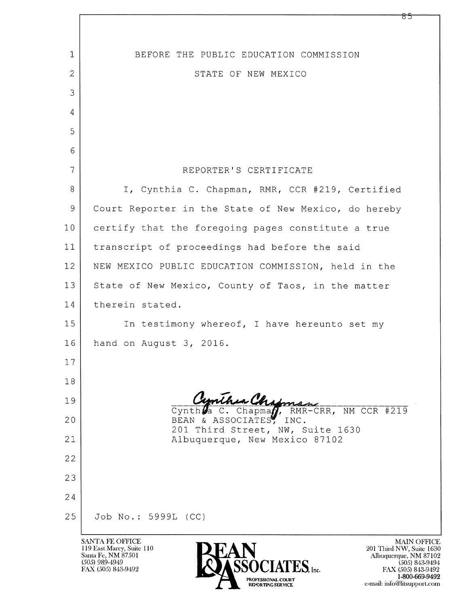| $\mathbf{1}$                                                                                                                                                                                                                                                                                                                  | BEFORE THE PUBLIC EDUCATION COMMISSION                      |  |
|-------------------------------------------------------------------------------------------------------------------------------------------------------------------------------------------------------------------------------------------------------------------------------------------------------------------------------|-------------------------------------------------------------|--|
| 2                                                                                                                                                                                                                                                                                                                             | STATE OF NEW MEXICO                                         |  |
| 3                                                                                                                                                                                                                                                                                                                             |                                                             |  |
| 4                                                                                                                                                                                                                                                                                                                             |                                                             |  |
| 5                                                                                                                                                                                                                                                                                                                             |                                                             |  |
| 6                                                                                                                                                                                                                                                                                                                             |                                                             |  |
| $\overline{7}$                                                                                                                                                                                                                                                                                                                | REPORTER'S CERTIFICATE                                      |  |
| 8                                                                                                                                                                                                                                                                                                                             | I, Cynthia C. Chapman, RMR, CCR #219, Certified             |  |
| 9                                                                                                                                                                                                                                                                                                                             | Court Reporter in the State of New Mexico, do hereby        |  |
| 10                                                                                                                                                                                                                                                                                                                            | certify that the foregoing pages constitute a true          |  |
| 11                                                                                                                                                                                                                                                                                                                            | transcript of proceedings had before the said               |  |
| 12                                                                                                                                                                                                                                                                                                                            | NEW MEXICO PUBLIC EDUCATION COMMISSION, held in the         |  |
| 13                                                                                                                                                                                                                                                                                                                            | State of New Mexico, County of Taos, in the matter          |  |
| 14                                                                                                                                                                                                                                                                                                                            | therein stated.                                             |  |
| 15                                                                                                                                                                                                                                                                                                                            | In testimony whereof, I have hereunto set my                |  |
| 16                                                                                                                                                                                                                                                                                                                            | hand on August 3, 2016.                                     |  |
| 17                                                                                                                                                                                                                                                                                                                            |                                                             |  |
| 18                                                                                                                                                                                                                                                                                                                            |                                                             |  |
| 19                                                                                                                                                                                                                                                                                                                            | Cynthia Chapman - 11 CCR #219<br>Cynth $\mathcal{L}$ a      |  |
| 20                                                                                                                                                                                                                                                                                                                            | BEAN & ASSOCIATES, INC.<br>201 Third Street, NW, Suite 1630 |  |
| 21                                                                                                                                                                                                                                                                                                                            | Albuquerque, New Mexico 87102                               |  |
| 22                                                                                                                                                                                                                                                                                                                            |                                                             |  |
| 23                                                                                                                                                                                                                                                                                                                            |                                                             |  |
| 24                                                                                                                                                                                                                                                                                                                            |                                                             |  |
| 25                                                                                                                                                                                                                                                                                                                            | Job No.: 5999L (CC)                                         |  |
| SANTA FE OFFICE<br><b>MAIN OFFICE</b><br>119 East Marcy, Suite 110<br>201 Third NW, Suite 1630<br>Santa Fe, NM 87501<br>Albuquerque, NM 87102<br>$(505)$ 989-4949<br>$(505)$ 843-9494<br>FAX (505) 843-9492<br>FAX (505) 843-9492<br>1-800-669-9492<br>PROFESSIONAL COURT<br>e-mail: info@litsupport.com<br>REPORTING SERVICE |                                                             |  |